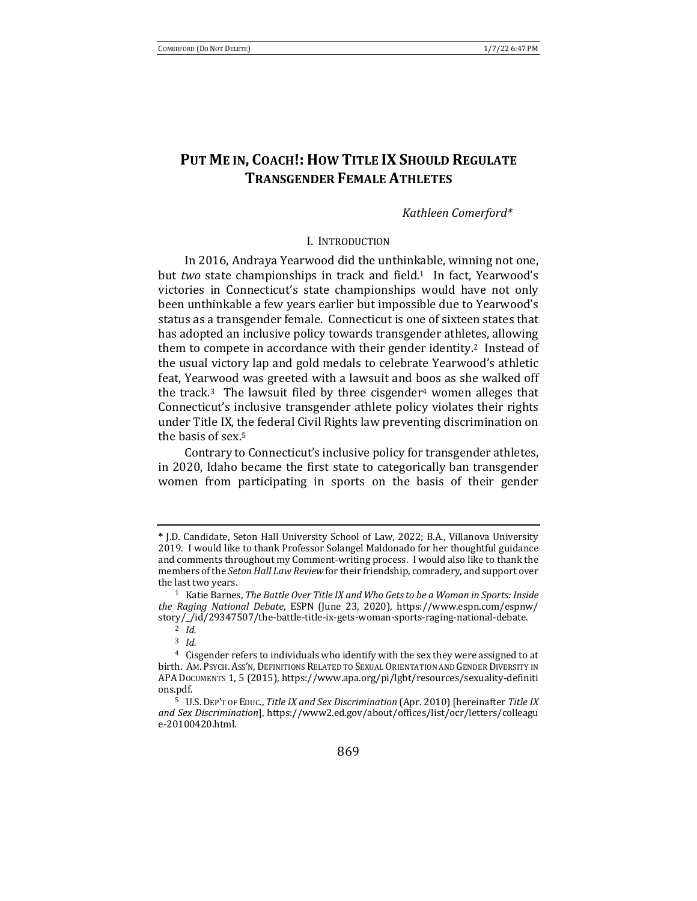# **PUT ME IN, COACH!: HOW TITLE IX SHOULD REGULATE TRANSGENDER FEMALE ATHLETES**

### *Kathleen Comerford\**

#### I. INTRODUCTION

In 2016, Andraya Yearwood did the unthinkable, winning not one, but *two* state championships in track and field.<sup>1</sup> In fact, Yearwood's victories in Connecticut's state championships would have not only been unthinkable a few years earlier but impossible due to Yearwood's status as a transgender female. Connecticut is one of sixteen states that has adopted an inclusive policy towards transgender athletes, allowing them to compete in accordance with their gender identity.<sup>2</sup> Instead of the usual victory lap and gold medals to celebrate Yearwood's athletic feat, Yearwood was greeted with a lawsuit and boos as she walked off the track.<sup>3</sup> The lawsuit filed by three cisgender<sup>4</sup> women alleges that Connecticut's inclusive transgender athlete policy violates their rights under Title IX, the federal Civil Rights law preventing discrimination on the basis of sex.<sup>5</sup>

Contrary to Connecticut's inclusive policy for transgender athletes, in 2020, Idaho became the first state to categorically ban transgender women from participating in sports on the basis of their gender

**<sup>\*</sup>** J.D. Candidate, Seton Hall University School of Law, 2022; B.A., Villanova University 2019. I would like to thank Professor Solangel Maldonado for her thoughtful guidance and comments throughout my Comment-writing process. I would also like to thank the members of the *Seton Hall Law Review* for their friendship, comradery, and support over the last two years.

<sup>&</sup>lt;sup>1</sup> Katie Barnes, *The Battle Over Title IX and Who Gets to be a Woman in Sports: Inside the Raging National Debate*, ESPN (June 23, 2020), https://www.espn.com/espnw/ story/\_/id/29347507/the-battle-title-ix-gets-woman-sports-raging-national-debate. <sup>2</sup> *Id.*

<sup>3</sup> *Id.*

 $4$  Cisgender refers to individuals who identify with the sex they were assigned to at birth. AM. PSYCH. ASS'N, DEFINITIONS RELATED TO SEXUAL ORIENTATION AND GENDER DIVERSITY IN APA DOCUMENTS 1, 5 (2015), https://www.apa.org/pi/lgbt/resources/sexuality-definiti ons.pdf. 

<sup>&</sup>lt;sup>5</sup> U.S. DEP'T OF EDUC., *Title IX and Sex Discrimination* (Apr. 2010) [hereinafter *Title IX and Sex Discrimination*], https://www2.ed.gov/about/offices/list/ocr/letters/colleagu e-20100420.html.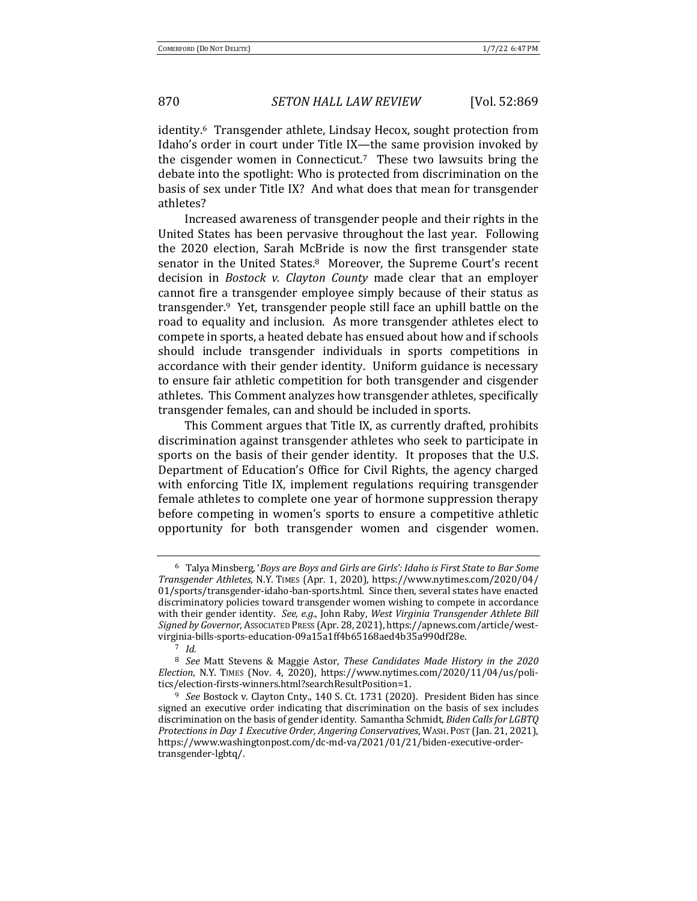identity.<sup>6</sup> Transgender athlete, Lindsay Hecox, sought protection from Idaho's order in court under Title IX—the same provision invoked by the cisgender women in Connecticut.<sup>7</sup> These two lawsuits bring the debate into the spotlight: Who is protected from discrimination on the basis of sex under Title IX? And what does that mean for transgender athletes?

Increased awareness of transgender people and their rights in the United States has been pervasive throughout the last year. Following the 2020 election, Sarah McBride is now the first transgender state senator in the United States.<sup>8</sup> Moreover, the Supreme Court's recent decision in *Bostock v. Clayton County* made clear that an employer cannot fire a transgender employee simply because of their status as transgender.<sup>9</sup> Yet, transgender people still face an uphill battle on the road to equality and inclusion. As more transgender athletes elect to compete in sports, a heated debate has ensued about how and if schools should include transgender individuals in sports competitions in accordance with their gender identity. Uniform guidance is necessary to ensure fair athletic competition for both transgender and cisgender athletes. This Comment analyzes how transgender athletes, specifically transgender females, can and should be included in sports.

This Comment argues that Title IX, as currently drafted, prohibits discrimination against transgender athletes who seek to participate in sports on the basis of their gender identity. It proposes that the U.S. Department of Education's Office for Civil Rights, the agency charged with enforcing Title IX, implement regulations requiring transgender female athletes to complete one year of hormone suppression therapy before competing in women's sports to ensure a competitive athletic opportunity for both transgender women and cisgender women.

<sup>&</sup>lt;sup>6</sup> Talya Minsberg, '*Boys are Boys and Girls are Girls': Idaho is First State to Bar Some Transgender Athletes*, N.Y. TIMES (Apr. 1, 2020), https://www.nytimes.com/2020/04/ 01/sports/transgender-idaho-ban-sports.html. Since then, several states have enacted discriminatory policies toward transgender women wishing to compete in accordance with their gender identity. See, e.g., John Raby, West Virginia Transgender Athlete Bill Signed by Governor, Associated Press (Apr. 28, 2021), https://apnews.com/article/westvirginia-bills-sports-education-09a15a1ff4b65168aed4b35a990df28e. 

<sup>7</sup> *Id.*

<sup>&</sup>lt;sup>8</sup> *See* Matt Stevens & Maggie Astor, *These Candidates Made History in the 2020 Election*, N.Y. TIMES (Nov. 4, 2020), https://www.nytimes.com/2020/11/04/us/politics/election-firsts-winners.html?searchResultPosition=1.

<sup>&</sup>lt;sup>9</sup> *See* Bostock v. Clayton Cnty., 140 S. Ct. 1731 (2020). President Biden has since signed an executive order indicating that discrimination on the basis of sex includes discrimination on the basis of gender identity. Samantha Schmidt, *Biden Calls for LGBTQ* Protections in Day 1 Executive Order, Angering Conservatives, WASH. Post (Jan. 21, 2021), https://www.washingtonpost.com/dc-md-va/2021/01/21/biden-executive-ordertransgender-lgbtq/.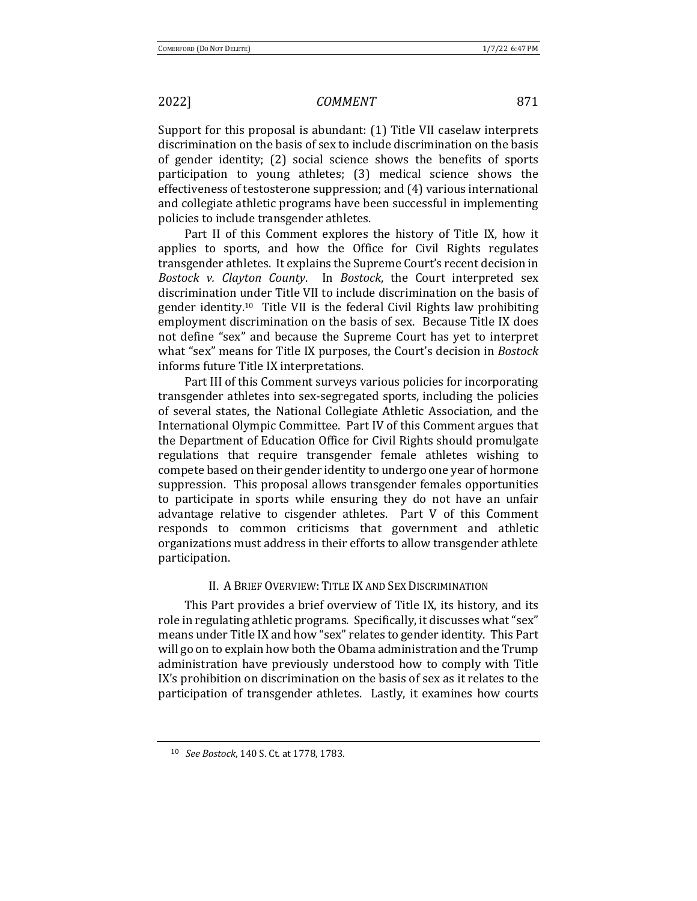Support for this proposal is abundant: (1) Title VII caselaw interprets discrimination on the basis of sex to include discrimination on the basis of gender identity; (2) social science shows the benefits of sports participation to young athletes; (3) medical science shows the effectiveness of testosterone suppression; and  $(4)$  various international and collegiate athletic programs have been successful in implementing policies to include transgender athletes.

Part II of this Comment explores the history of Title IX, how it applies to sports, and how the Office for Civil Rights regulates transgender athletes. It explains the Supreme Court's recent decision in *Bostock v. Clayton County*. In *Bostock*, the Court interpreted sex discrimination under Title VII to include discrimination on the basis of gender identity.<sup>10</sup> Title VII is the federal Civil Rights law prohibiting employment discrimination on the basis of sex. Because Title IX does not define "sex" and because the Supreme Court has yet to interpret what "sex" means for Title IX purposes, the Court's decision in *Bostock* informs future Title IX interpretations.

Part III of this Comment surveys various policies for incorporating transgender athletes into sex-segregated sports, including the policies of several states, the National Collegiate Athletic Association, and the International Olympic Committee. Part IV of this Comment argues that the Department of Education Office for Civil Rights should promulgate regulations that require transgender female athletes wishing to compete based on their gender identity to undergo one year of hormone suppression. This proposal allows transgender females opportunities to participate in sports while ensuring they do not have an unfair advantage relative to cisgender athletes. Part  $V$  of this Comment responds to common criticisms that government and athletic organizations must address in their efforts to allow transgender athlete participation. 

### II. A BRIEF OVERVIEW: TITLE IX AND SEX DISCRIMINATION

This Part provides a brief overview of Title IX, its history, and its role in regulating athletic programs. Specifically, it discusses what "sex" means under Title IX and how "sex" relates to gender identity. This Part will go on to explain how both the Obama administration and the Trump administration have previously understood how to comply with Title IX's prohibition on discrimination on the basis of sex as it relates to the participation of transgender athletes. Lastly, it examines how courts

<sup>10</sup> *See Bostock*, 140 S. Ct. at 1778, 1783.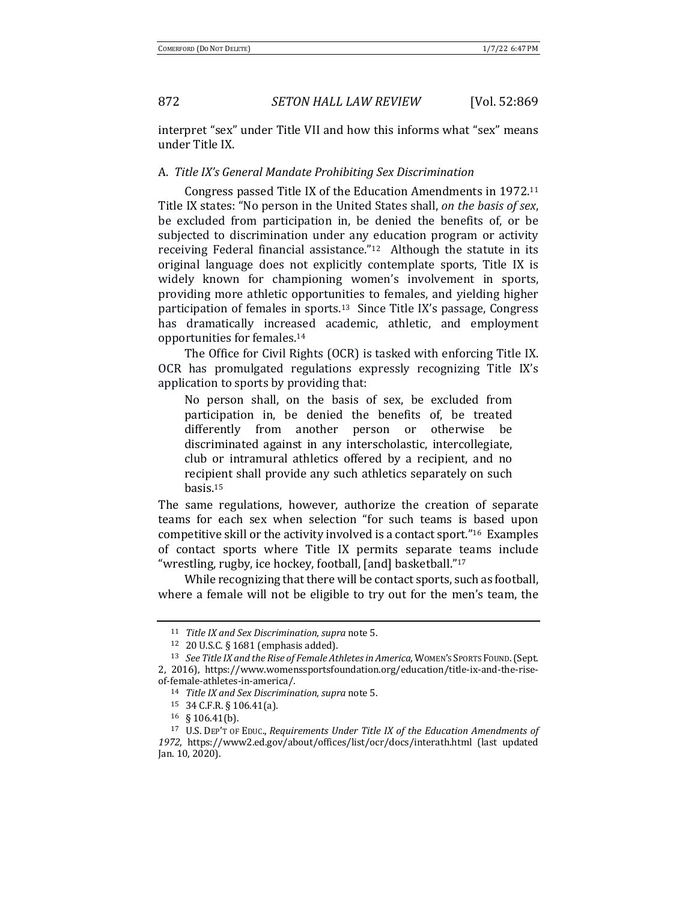interpret "sex" under Title VII and how this informs what "sex" means under Title IX.

### A. *Title IX's General Mandate Prohibiting Sex Discrimination*

Congress passed Title IX of the Education Amendments in  $1972$ .<sup>11</sup> Title IX states: "No person in the United States shall, on the basis of sex, be excluded from participation in, be denied the benefits of, or be subjected to discrimination under any education program or activity receiving Federal financial assistance." $12$  Although the statute in its original language does not explicitly contemplate sports, Title IX is widely known for championing women's involvement in sports, providing more athletic opportunities to females, and yielding higher participation of females in sports.<sup>13</sup> Since Title IX's passage, Congress has dramatically increased academic, athletic, and employment opportunities for females.<sup>14</sup>

The Office for Civil Rights (OCR) is tasked with enforcing Title IX. OCR has promulgated regulations expressly recognizing Title IX's application to sports by providing that:

No person shall, on the basis of sex, be excluded from participation in, be denied the benefits of, be treated differently from another person or otherwise be discriminated against in any interscholastic, intercollegiate, club or intramural athletics offered by a recipient, and no recipient shall provide any such athletics separately on such basis.15

The same regulations, however, authorize the creation of separate teams for each sex when selection "for such teams is based upon competitive skill or the activity involved is a contact sport." $16$  Examples of contact sports where Title IX permits separate teams include "wrestling, rugby, ice hockey, football, [and] basketball."<sup>17</sup>

While recognizing that there will be contact sports, such as football, where a female will not be eligible to try out for the men's team, the

<sup>11</sup> *Title IX and Sex Discrimination, supra note* 5.

 $12$  20 U.S.C. § 1681 (emphasis added).

<sup>13</sup> *See Title IX and the Rise of Female Athletes in America*, WOMEN's SPORTS FOUND. (Sept. 2, 2016), https://www.womenssportsfoundation.org/education/title-ix-and-the-riseof-female-athletes-in-america/.

<sup>14</sup> *Title IX and Sex Discrimination, supra note* 5.

<sup>15</sup> 34 C.F.R. § 106.41(a).

 $16 \S 106.41(b)$ .

<sup>&</sup>lt;sup>17</sup> U.S. DEP'T OF EDUC., *Requirements Under Title IX of the Education Amendments of* 1972, https://www2.ed.gov/about/offices/list/ocr/docs/interath.html (last updated Jan. 10, 2020).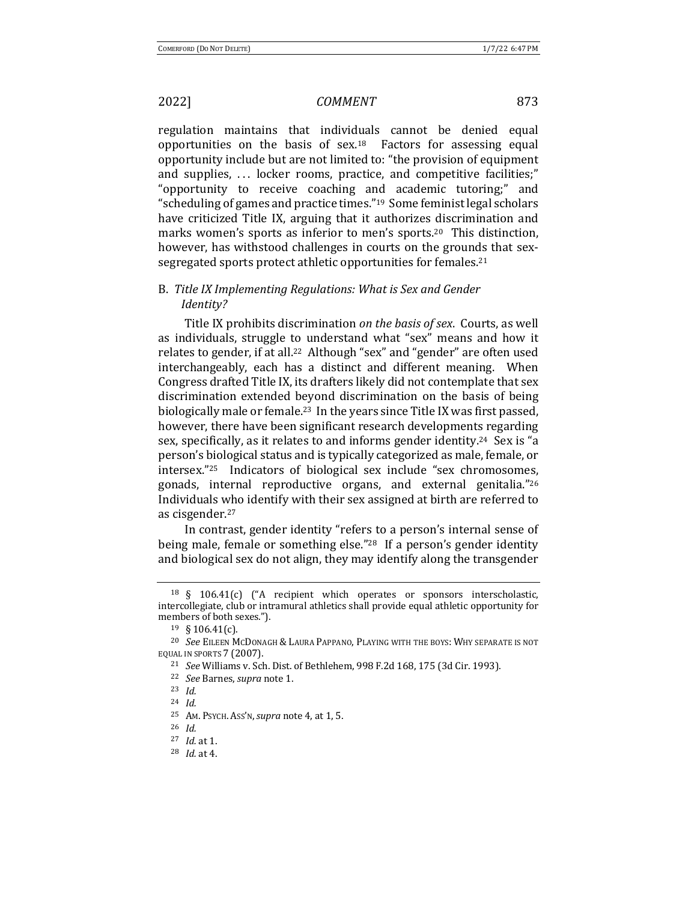regulation maintains that individuals cannot be denied equal opportunities on the basis of  $sex.^{18}$  Factors for assessing equal opportunity include but are not limited to: "the provision of equipment and supplies,  $\ldots$  locker rooms, practice, and competitive facilities;" "opportunity to receive coaching and academic tutoring;" and " scheduling of games and practice times."  $19\text{ Some feminist legal scholars}$ have criticized Title IX, arguing that it authorizes discrimination and marks women's sports as inferior to men's sports.<sup>20</sup> This distinction, however, has withstood challenges in courts on the grounds that sexsegregated sports protect athletic opportunities for females.<sup>21</sup>

## B. Title IX Implementing Regulations: What is Sex and Gender *Identity?*

Title IX prohibits discrimination *on the basis of sex*. Courts, as well as individuals, struggle to understand what "sex" means and how it relates to gender, if at all.<sup>22</sup> Although "sex" and "gender" are often used interchangeably, each has a distinct and different meaning. When Congress drafted Title IX, its drafters likely did not contemplate that sex discrimination extended beyond discrimination on the basis of being biologically male or female.<sup>23</sup> In the years since Title IX was first passed, however, there have been significant research developments regarding sex, specifically, as it relates to and informs gender identity.<sup>24</sup> Sex is "a person's biological status and is typically categorized as male, female, or intersex."<sup>25</sup> Indicators of biological sex include "sex chromosomes, gonads, internal reproductive organs, and external genitalia."26 Individuals who identify with their sex assigned at birth are referred to as cisgender.<sup>27</sup>

In contrast, gender identity "refers to a person's internal sense of being male, female or something else."<sup>28</sup> If a person's gender identity and biological sex do not align, they may identify along the transgender

 $18 \S$  106.41(c) ("A recipient which operates or sponsors interscholastic, intercollegiate, club or intramural athletics shall provide equal athletic opportunity for members of both sexes.").

 $19 \S 106.41(c)$ .

<sup>&</sup>lt;sup>20</sup> *See* EILEEN MCDONAGH & LAURA PAPPANO, PLAYING WITH THE BOYS: WHY SEPARATE IS NOT EQUAL IN SPORTS 7 (2007).

<sup>&</sup>lt;sup>21</sup> *See* Williams v. Sch. Dist. of Bethlehem, 998 F.2d 168, 175 (3d Cir. 1993).

<sup>22</sup> *See* Barnes, *supra* note 1.

<sup>23</sup> *Id.*

<sup>24</sup> *Id.*

<sup>25</sup> AM. PSYCH. Ass'N, *supra* note 4, at 1, 5.

<sup>26</sup> *Id.*

<sup>27</sup> *Id.* at 1.

<sup>28</sup> *Id.* at 4.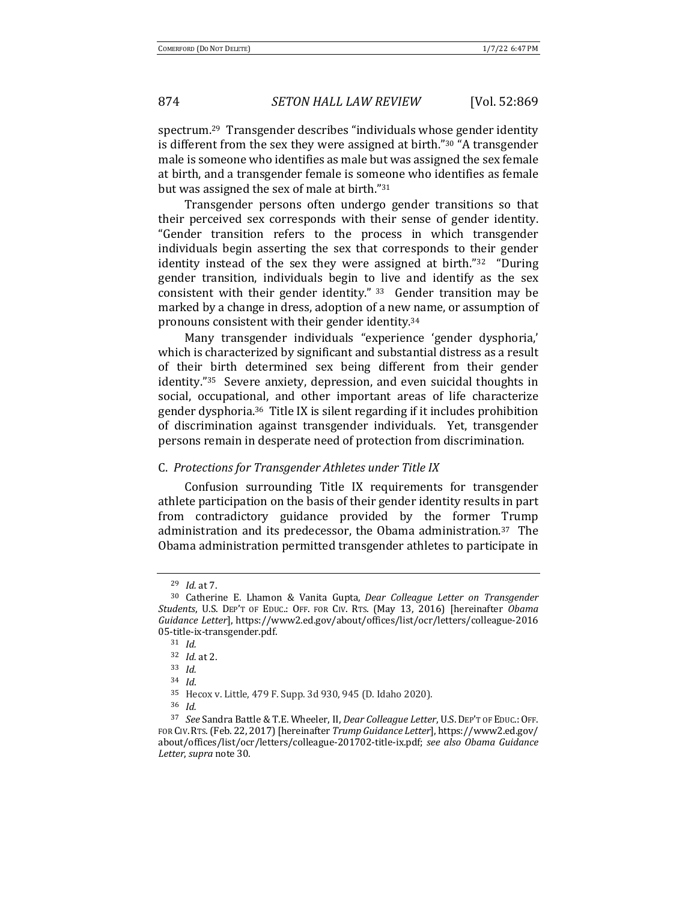spectrum.<sup>29</sup> Transgender describes "individuals whose gender identity is different from the sex they were assigned at birth."<sup>30</sup> "A transgender male is someone who identifies as male but was assigned the sex female at birth, and a transgender female is someone who identifies as female but was assigned the sex of male at birth."31

Transgender persons often undergo gender transitions so that their perceived sex corresponds with their sense of gender identity. "Gender transition refers to the process in which transgender individuals begin asserting the sex that corresponds to their gender identity instead of the sex they were assigned at birth." $32$  "During gender transition, individuals begin to live and identify as the sex consistent with their gender identity."  $33$  Gender transition may be marked by a change in dress, adoption of a new name, or assumption of pronouns consistent with their gender identity.<sup>34</sup>

Many transgender individuals "experience 'gender dysphoria,' which is characterized by significant and substantial distress as a result of their birth determined sex being different from their gender identity."<sup>35</sup> Severe anxiety, depression, and even suicidal thoughts in social, occupational, and other important areas of life characterize gender dysphoria.<sup>36</sup> Title IX is silent regarding if it includes prohibition of discrimination against transgender individuals. Yet, transgender persons remain in desperate need of protection from discrimination.

### C. *Protections for Transgender Athletes under Title IX*

Confusion surrounding Title IX requirements for transgender athlete participation on the basis of their gender identity results in part from contradictory guidance provided by the former Trump administration and its predecessor, the Obama administration.<sup>37</sup> The Obama administration permitted transgender athletes to participate in

<sup>29</sup> *Id.* at 7.

<sup>&</sup>lt;sup>30</sup> Catherine E. Lhamon & Vanita Gupta, *Dear Colleague Letter on Transgender Students*, U.S. DEP'T OF EDUC.: OFF. FOR CIV. RTS. (May 13, 2016) [hereinafter *Obama Guidance Letter*], https://www2.ed.gov/about/offices/list/ocr/letters/colleague-2016 05-title-ix-transgender.pdf. 

<sup>31</sup> *Id.*

<sup>32</sup> *Id.* at 2.

<sup>33</sup> *Id.*

<sup>34</sup> *Id*.

<sup>35</sup> Hecox v. Little, 479 F. Supp. 3d 930, 945 (D. Idaho 2020).

<sup>36</sup> *Id.*

<sup>37</sup> *See* Sandra Battle & T.E. Wheeler, II, *Dear Colleague Letter*, U.S. DEP'T OF EDUC.: OFF. FOR CIV. RTS. (Feb. 22, 2017) [hereinafter Trump Guidance Letter], https://www2.ed.gov/ about/offices/list/ocr/letters/colleague-201702-title-ix.pdf; see also Obama Guidance *Letter*, *supra* note 30.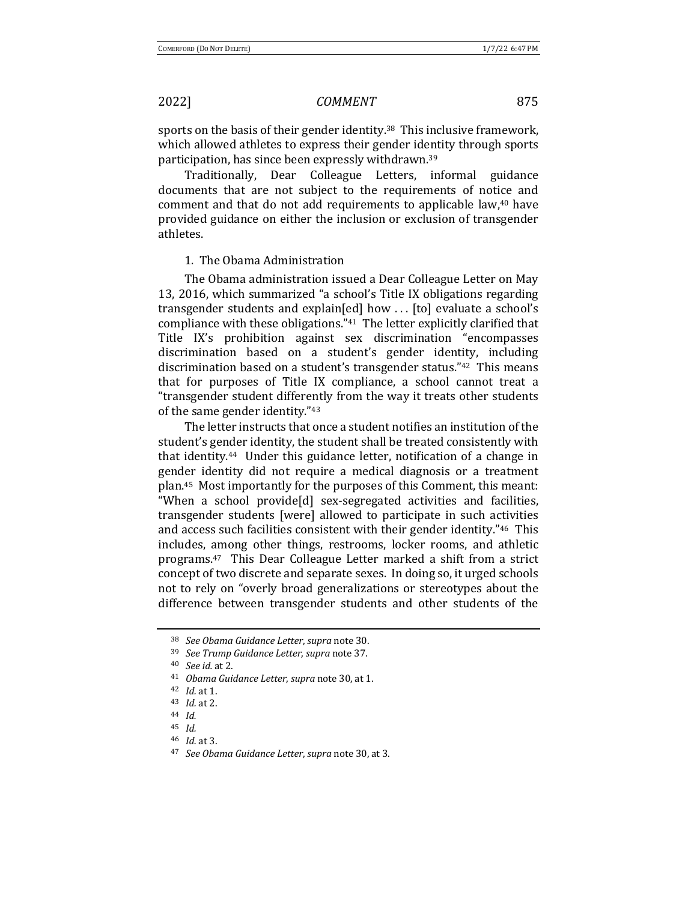sports on the basis of their gender identity.<sup>38</sup> This inclusive framework, which allowed athletes to express their gender identity through sports participation, has since been expressly withdrawn.<sup>39</sup>

Traditionally, Dear Colleague Letters, informal guidance documents that are not subject to the requirements of notice and comment and that do not add requirements to applicable law,<sup>40</sup> have provided guidance on either the inclusion or exclusion of transgender athletes. 

### 1. The Obama Administration

The Obama administration issued a Dear Colleague Letter on May 13, 2016, which summarized "a school's Title IX obligations regarding transgender students and explain[ed] how ... [to] evaluate a school's compliance with these obligations."<sup>41</sup> The letter explicitly clarified that Title IX's prohibition against sex discrimination "encompasses discrimination based on a student's gender identity, including discrimination based on a student's transgender status." $42$  This means that for purposes of Title IX compliance, a school cannot treat a "transgender student differently from the way it treats other students of the same gender identity."43

The letter instructs that once a student notifies an institution of the student's gender identity, the student shall be treated consistently with that identity.<sup>44</sup> Under this guidance letter, notification of a change in gender identity did not require a medical diagnosis or a treatment plan.<sup>45</sup> Most importantly for the purposes of this Comment, this meant: "When a school provide<sup>[d]</sup> sex-segregated activities and facilities, transgender students [were] allowed to participate in such activities and access such facilities consistent with their gender identity."<sup>46</sup> This includes, among other things, restrooms, locker rooms, and athletic programs.<sup>47</sup> This Dear Colleague Letter marked a shift from a strict concept of two discrete and separate sexes. In doing so, it urged schools not to rely on "overly broad generalizations or stereotypes about the difference between transgender students and other students of the

<sup>38</sup> *See Obama Guidance Letter*, *supra* note 30.

<sup>39</sup> *See Trump Guidance Letter*, *supra* note 37.

<sup>40</sup> *See id.* at 2.

<sup>&</sup>lt;sup>41</sup> *Obama Guidance Letter, supra* note 30, at 1.

<sup>42</sup> *Id.* at 1.

<sup>43</sup> *Id.* at 2.

<sup>44</sup> *Id.*

<sup>45</sup> *Id.*

<sup>46</sup> *Id.* at 3.

<sup>47</sup> *See Obama Guidance Letter*, *supra* note 30, at 3.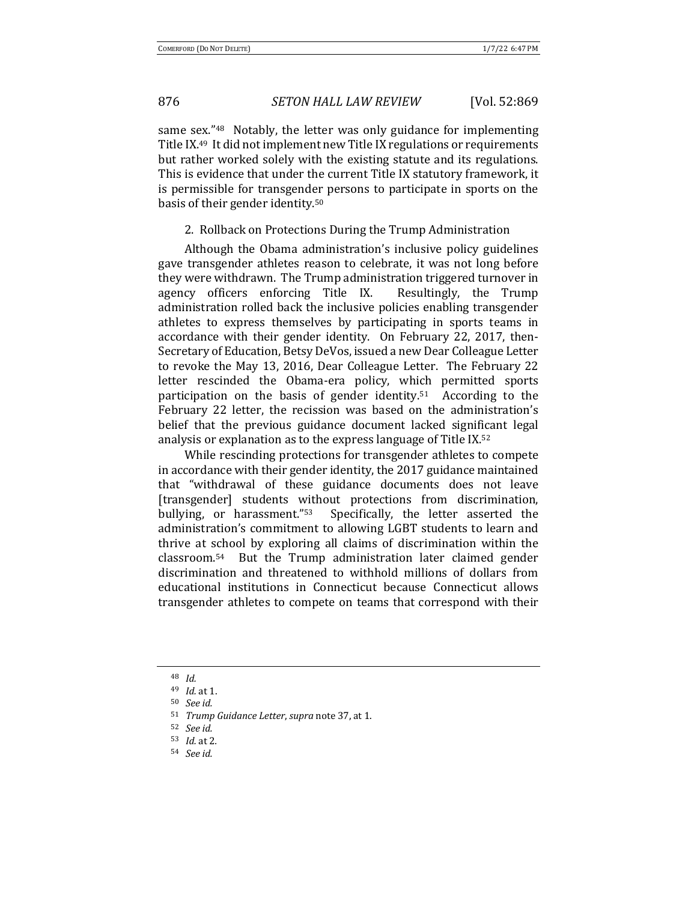same sex."<sup>48</sup> Notably, the letter was only guidance for implementing Title IX.<sup>49</sup> It did not implement new Title IX regulations or requirements but rather worked solely with the existing statute and its regulations. This is evidence that under the current Title IX statutory framework, it is permissible for transgender persons to participate in sports on the basis of their gender identity.<sup>50</sup>

2. Rollback on Protections During the Trump Administration

Although the Obama administration's inclusive policy guidelines gave transgender athletes reason to celebrate, it was not long before they were withdrawn. The Trump administration triggered turnover in agency officers enforcing Title IX. Resultingly, the Trump administration rolled back the inclusive policies enabling transgender athletes to express themselves by participating in sports teams in accordance with their gender identity. On February 22, 2017, then-Secretary of Education, Betsy DeVos, issued a new Dear Colleague Letter to revoke the May 13, 2016, Dear Colleague Letter. The February 22 letter rescinded the Obama-era policy, which permitted sports participation on the basis of gender identity.<sup>51</sup> According to the February 22 letter, the recission was based on the administration's belief that the previous guidance document lacked significant legal analysis or explanation as to the express language of Title IX. $52$ 

While rescinding protections for transgender athletes to compete in accordance with their gender identity, the 2017 guidance maintained that "withdrawal of these guidance documents does not leave [transgender] students without protections from discrimination, bullying, or harassment."<sup>53</sup> Specifically, the letter asserted the administration's commitment to allowing LGBT students to learn and thrive at school by exploring all claims of discrimination within the  $classroom.54$  But the Trump administration later claimed gender discrimination and threatened to withhold millions of dollars from educational institutions in Connecticut because Connecticut allows transgender athletes to compete on teams that correspond with their

<sup>48</sup> *Id.*

<sup>49</sup> *Id.* at 1.

<sup>50</sup> *See id.*

<sup>51</sup> *Trump Guidance Letter*, *supra* note 37, at 1.

<sup>52</sup> *See id.*

<sup>53</sup> *Id.* at 2*.*

<sup>54</sup> *See id.*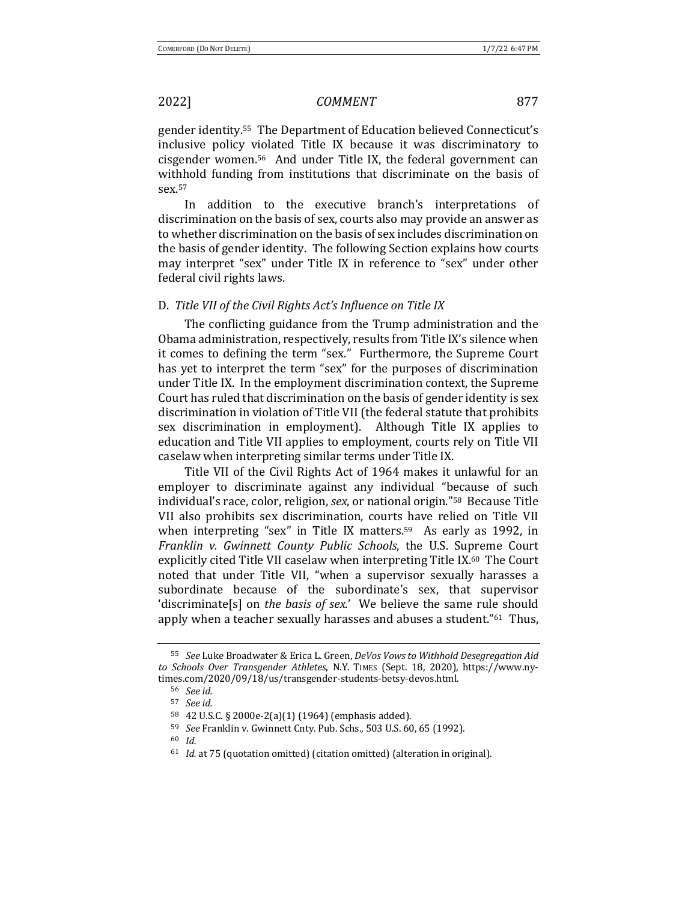gender identity.<sup>55</sup> The Department of Education believed Connecticut's inclusive policy violated Title IX because it was discriminatory to cisgender women.<sup>56</sup> And under Title IX, the federal government can withhold funding from institutions that discriminate on the basis of sex.57

In addition to the executive branch's interpretations of discrimination on the basis of sex, courts also may provide an answer as to whether discrimination on the basis of sex includes discrimination on the basis of gender identity. The following Section explains how courts may interpret "sex" under Title IX in reference to "sex" under other federal civil rights laws.

### D. Title VII of the Civil Rights Act's Influence on Title IX

The conflicting guidance from the Trump administration and the Obama administration, respectively, results from Title IX's silence when it comes to defining the term "sex." Furthermore, the Supreme Court has yet to interpret the term "sex" for the purposes of discrimination under Title IX. In the employment discrimination context, the Supreme Court has ruled that discrimination on the basis of gender identity is sex discrimination in violation of Title VII (the federal statute that prohibits sex discrimination in employment). Although Title IX applies to education and Title VII applies to employment, courts rely on Title VII caselaw when interpreting similar terms under Title IX.

Title VII of the Civil Rights Act of 1964 makes it unlawful for an employer to discriminate against any individual "because of such individual's race, color, religion, *sex*, or national origin."<sup>58</sup> Because Title VII also prohibits sex discrimination, courts have relied on Title VII when interpreting "sex" in Title IX matters.<sup>59</sup> As early as 1992, in *Franklin v. Gwinnett County Public Schools*, the U.S. Supreme Court explicitly cited Title VII caselaw when interpreting Title IX.<sup>60</sup> The Court noted that under Title VII, "when a supervisor sexually harasses a subordinate because of the subordinate's sex, that supervisor 'discriminate[s] on *the basis of sex.'* We believe the same rule should apply when a teacher sexually harasses and abuses a student."<sup>61</sup> Thus,

<sup>55</sup> *See* Luke Broadwater & Erica L. Green, *DeVos Vows to Withhold Desegregation Aid* to Schools Over Transgender Athletes, N.Y. TIMES (Sept. 18, 2020), https://www.nytimes.com/2020/09/18/us/transgender-students-betsy-devos.html.

<sup>56</sup> *See id.*

<sup>57</sup> *See id.*

<sup>58 42</sup> U.S.C. § 2000e-2(a)(1) (1964) (emphasis added).

<sup>59</sup> *See* Franklin v. Gwinnett Cnty. Pub. Schs., 503 U.S. 60, 65 (1992).

<sup>60</sup> *Id.*

<sup>&</sup>lt;sup>61</sup> *Id.* at 75 (quotation omitted) (citation omitted) (alteration in original).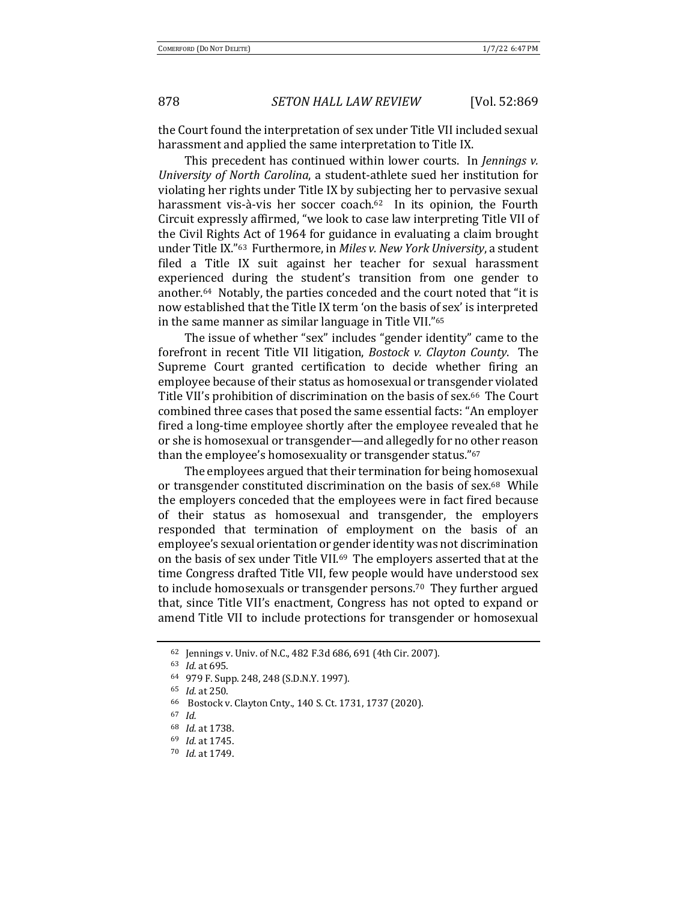the Court found the interpretation of sex under Title VII included sexual harassment and applied the same interpretation to Title IX.

This precedent has continued within lower courts. In *Jennings v. University of North Carolina*, a student-athlete sued her institution for violating her rights under Title IX by subjecting her to pervasive sexual harassment vis-à-vis her soccer coach. $62$  In its opinion, the Fourth Circuit expressly affirmed, "we look to case law interpreting Title VII of the Civil Rights Act of 1964 for guidance in evaluating a claim brought under Title IX."<sup>63</sup> Furthermore, in *Miles v. New York University*, a student filed a Title IX suit against her teacher for sexual harassment experienced during the student's transition from one gender to another.<sup>64</sup> Notably, the parties conceded and the court noted that "it is now established that the Title IX term 'on the basis of sex' is interpreted in the same manner as similar language in Title VII." $65$ 

The issue of whether "sex" includes "gender identity" came to the forefront in recent Title VII litigation, *Bostock v. Clayton County*. The Supreme Court granted certification to decide whether firing an employee because of their status as homosexual or transgender violated Title VII's prohibition of discrimination on the basis of sex.<sup>66</sup> The Court combined three cases that posed the same essential facts: "An employer fired a long-time employee shortly after the employee revealed that he or she is homosexual or transgender—and allegedly for no other reason than the employee's homosexuality or transgender status."<sup>67</sup>

The employees argued that their termination for being homosexual or transgender constituted discrimination on the basis of sex. $68$  While the employers conceded that the employees were in fact fired because of their status as homosexual and transgender, the employers responded that termination of employment on the basis of an employee's sexual orientation or gender identity was not discrimination on the basis of sex under Title VII.<sup>69</sup> The employers asserted that at the time Congress drafted Title VII, few people would have understood sex to include homosexuals or transgender persons.<sup>70</sup> They further argued that, since Title VII's enactment, Congress has not opted to expand or amend Title VII to include protections for transgender or homosexual

<sup>62</sup> Jennings v. Univ. of N.C., 482 F.3d 686, 691 (4th Cir. 2007).

<sup>63</sup> *Id.* at 695.

<sup>64 979</sup> F. Supp. 248, 248 (S.D.N.Y. 1997).

<sup>65</sup> *Id.* at 250.

<sup>66</sup> Bostock v. Clayton Cnty., 140 S. Ct. 1731, 1737 (2020).

<sup>67</sup> *Id.* 

<sup>68</sup> *Id.* at 1738.

<sup>69</sup> *Id.* at 1745.

<sup>70</sup> *Id.* at 1749.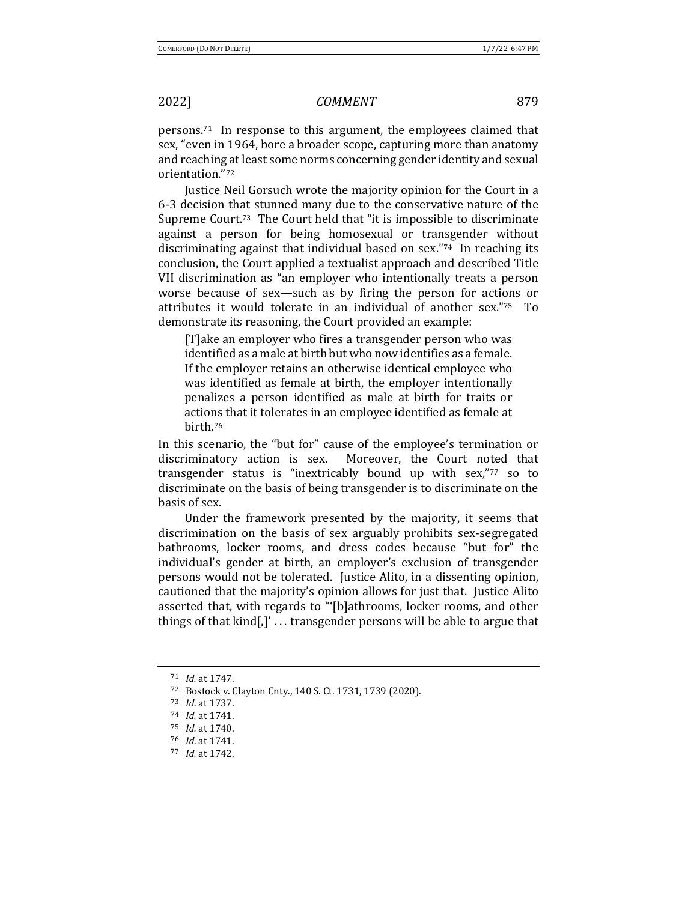persons.<sup>71</sup> In response to this argument, the employees claimed that sex, "even in 1964, bore a broader scope, capturing more than anatomy and reaching at least some norms concerning gender identity and sexual orientation."72

Justice Neil Gorsuch wrote the majority opinion for the Court in a 6-3 decision that stunned many due to the conservative nature of the Supreme Court.<sup>73</sup> The Court held that "it is impossible to discriminate against a person for being homosexual or transgender without discriminating against that individual based on sex." $74$  In reaching its conclusion, the Court applied a textualist approach and described Title VII discrimination as "an employer who intentionally treats a person worse because of sex—such as by firing the person for actions or attributes it would tolerate in an individual of another sex."75 To demonstrate its reasoning, the Court provided an example:

[T]ake an employer who fires a transgender person who was identified as a male at birth but who now identifies as a female. If the employer retains an otherwise identical employee who was identified as female at birth, the employer intentionally penalizes a person identified as male at birth for traits or actions that it tolerates in an employee identified as female at birth.76 

In this scenario, the "but for" cause of the employee's termination or discriminatory action is sex. Moreover, the Court noted that transgender status is "inextricably bound up with  $sex,"77$  so to discriminate on the basis of being transgender is to discriminate on the basis of sex.

Under the framework presented by the majority, it seems that discrimination on the basis of sex arguably prohibits sex-segregated bathrooms, locker rooms, and dress codes because "but for" the individual's gender at birth, an employer's exclusion of transgender persons would not be tolerated. Justice Alito, in a dissenting opinion, cautioned that the majority's opinion allows for just that. Justice Alito asserted that, with regards to "'[b]athrooms, locker rooms, and other things of that  $\text{kind}[.]' \dots$  transgender persons will be able to argue that

<sup>71</sup> *Id.* at 1747.

<sup>72</sup> Bostock v. Clayton Cnty., 140 S. Ct. 1731, 1739 (2020).

<sup>73</sup> *Id.* at 1737.

<sup>74</sup> *Id.* at 1741.

<sup>75</sup> *Id.* at 1740.

<sup>76</sup> *Id.* at 1741.

<sup>77</sup> *Id.* at 1742.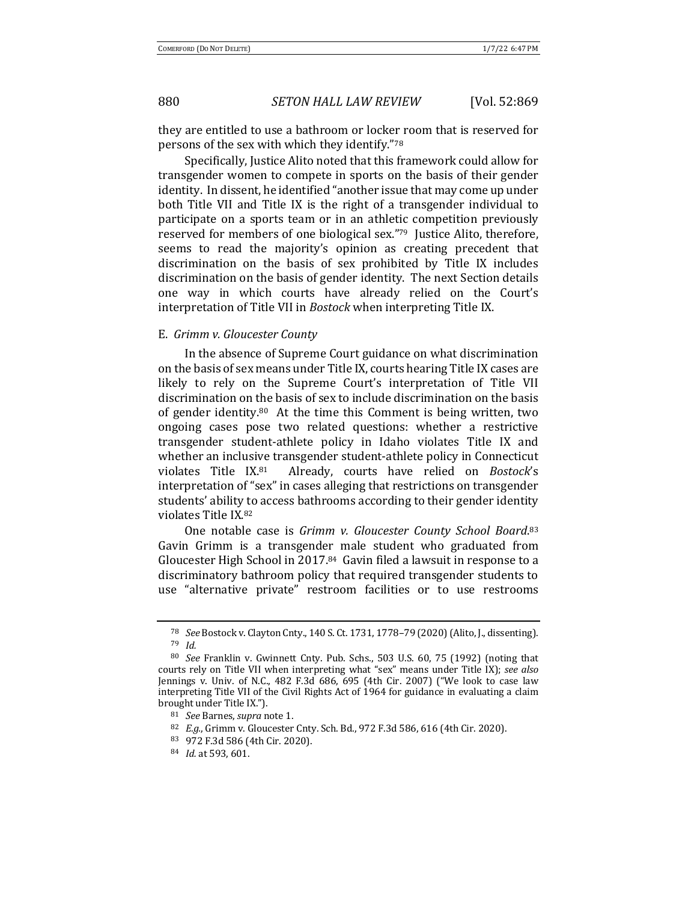they are entitled to use a bathroom or locker room that is reserved for persons of the sex with which they identify."78

Specifically, Justice Alito noted that this framework could allow for transgender women to compete in sports on the basis of their gender identity. In dissent, he identified "another issue that may come up under both Title VII and Title IX is the right of a transgender individual to participate on a sports team or in an athletic competition previously reserved for members of one biological sex."<sup>79</sup> Justice Alito, therefore, seems to read the majority's opinion as creating precedent that discrimination on the basis of sex prohibited by Title IX includes discrimination on the basis of gender identity. The next Section details one way in which courts have already relied on the Court's interpretation of Title VII in *Bostock* when interpreting Title IX.

### E. *Grimm v. Gloucester County*

In the absence of Supreme Court guidance on what discrimination on the basis of sex means under Title IX, courts hearing Title IX cases are likely to rely on the Supreme Court's interpretation of Title VII discrimination on the basis of sex to include discrimination on the basis of gender identity.<sup>80</sup> At the time this Comment is being written, two ongoing cases pose two related questions: whether a restrictive transgender student-athlete policy in Idaho violates Title IX and whether an inclusive transgender student-athlete policy in Connecticut violates Title IX.<sup>81</sup> Already, courts have relied on *Bostock's* interpretation of "sex" in cases alleging that restrictions on transgender students' ability to access bathrooms according to their gender identity violates Title IX.82

One notable case is Grimm v. Gloucester County School Board.<sup>83</sup> Gavin Grimm is a transgender male student who graduated from Gloucester High School in 2017.84 Gavin filed a lawsuit in response to a discriminatory bathroom policy that required transgender students to use "alternative private" restroom facilities or to use restrooms

<sup>78</sup> *See* Bostock v. Clayton Cnty., 140 S. Ct. 1731, 1778-79 (2020) (Alito, J., dissenting). <sup>79</sup> *Id.* 

<sup>&</sup>lt;sup>80</sup> *See* Franklin v. Gwinnett Cnty. Pub. Schs., 503 U.S. 60, 75 (1992) (noting that courts rely on Title VII when interpreting what "sex" means under Title IX); see also Jennings v. Univ. of N.C., 482 F.3d 686, 695 (4th Cir. 2007) ("We look to case law interpreting Title VII of the Civil Rights Act of 1964 for guidance in evaluating a claim brought under Title IX.").

<sup>&</sup>lt;sup>81</sup> *See* Barnes, *supra* note 1.

<sup>82</sup> *E.g.*, Grimm v. Gloucester Cnty. Sch. Bd., 972 F.3d 586, 616 (4th Cir. 2020).

<sup>83 972</sup> F.3d 586 (4th Cir. 2020).

<sup>84</sup> *Id.* at 593, 601.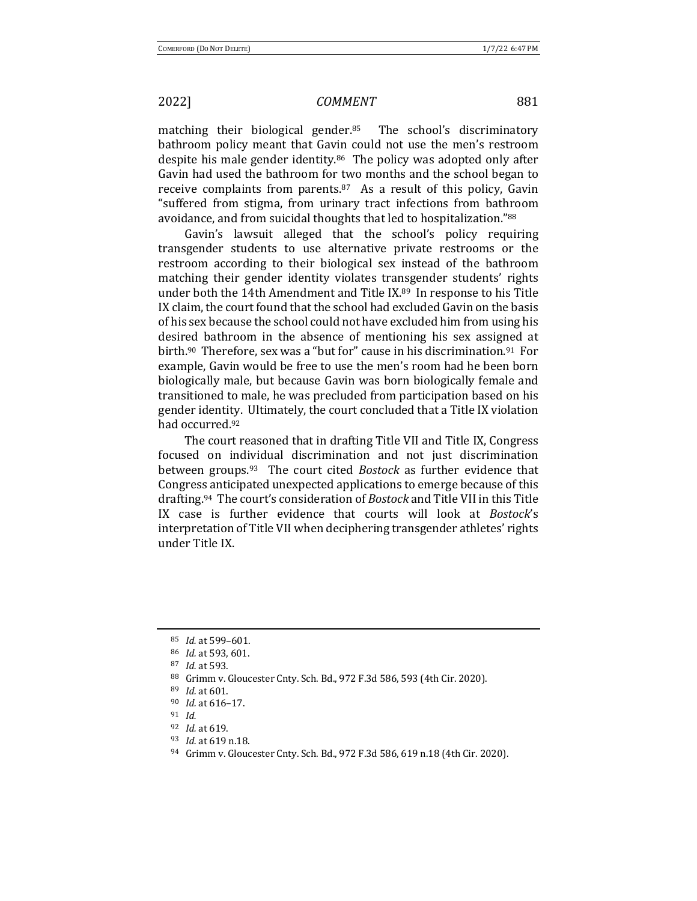matching their biological gender.<sup>85</sup> The school's discriminatory bathroom policy meant that Gavin could not use the men's restroom despite his male gender identity. $86$  The policy was adopted only after Gavin had used the bathroom for two months and the school began to receive complaints from parents.<sup>87</sup> As a result of this policy, Gavin "suffered from stigma, from urinary tract infections from bathroom avoidance, and from suicidal thoughts that led to hospitalization."88

Gavin's lawsuit alleged that the school's policy requiring transgender students to use alternative private restrooms or the restroom according to their biological sex instead of the bathroom matching their gender identity violates transgender students' rights under both the 14th Amendment and Title IX. $89$  In response to his Title IX claim, the court found that the school had excluded Gavin on the basis of his sex because the school could not have excluded him from using his desired bathroom in the absence of mentioning his sex assigned at birth.<sup>90</sup> Therefore, sex was a "but for" cause in his discrimination.<sup>91</sup> For example, Gavin would be free to use the men's room had he been born biologically male, but because Gavin was born biologically female and transitioned to male, he was precluded from participation based on his gender identity. Ultimately, the court concluded that a Title IX violation had occurred.<sup>92</sup>

The court reasoned that in drafting Title VII and Title IX, Congress focused on individual discrimination and not just discrimination between groups.<sup>93</sup> The court cited *Bostock* as further evidence that Congress anticipated unexpected applications to emerge because of this drafting.<sup>94</sup> The court's consideration of *Bostock* and Title VII in this Title IX case is further evidence that courts will look at *Bostock's* interpretation of Title VII when deciphering transgender athletes' rights under Title IX.

<sup>85</sup> *Id.* at 599–601.

<sup>86</sup> *Id.* at 593, 601.

<sup>87</sup> *Id.* at 593.

<sup>88</sup> Grimm v. Gloucester Cnty. Sch. Bd., 972 F.3d 586, 593 (4th Cir. 2020).

<sup>89</sup> *Id.* at 601.

<sup>90</sup> *Id.* at 616-17.

<sup>91</sup> *Id.*

<sup>92</sup> *Id.* at 619.

<sup>93</sup> *Id.* at 619 n.18.

<sup>94</sup> Grimm v. Gloucester Cnty. Sch. Bd., 972 F.3d 586, 619 n.18 (4th Cir. 2020).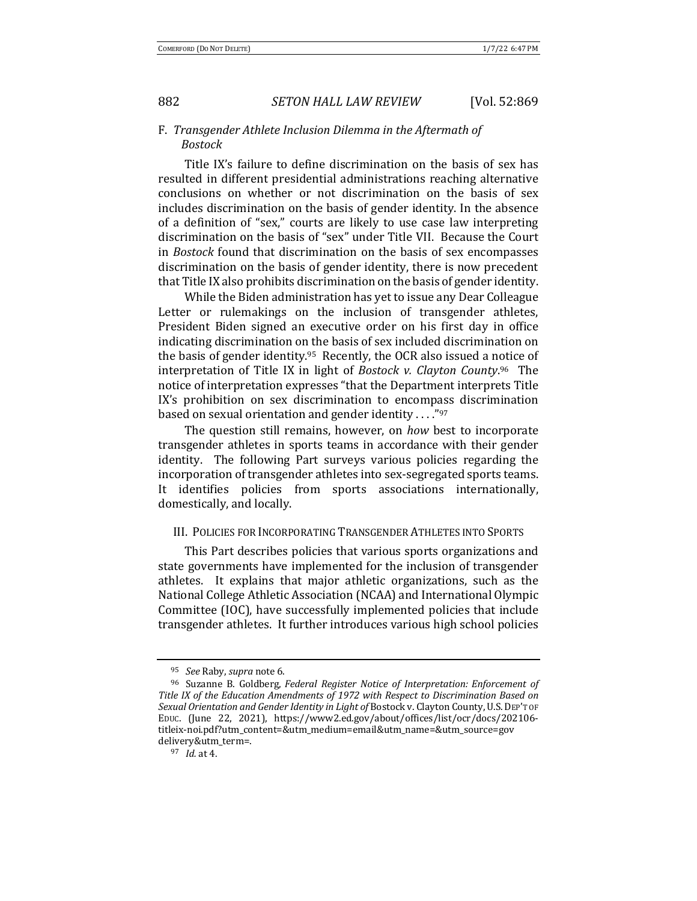### F. Transgender Athlete Inclusion Dilemma in the Aftermath of *Bostock*

Title IX's failure to define discrimination on the basis of sex has resulted in different presidential administrations reaching alternative conclusions on whether or not discrimination on the basis of sex includes discrimination on the basis of gender identity. In the absence of a definition of "sex," courts are likely to use case law interpreting discrimination on the basis of "sex" under Title VII. Because the Court in *Bostock* found that discrimination on the basis of sex encompasses discrimination on the basis of gender identity, there is now precedent that Title IX also prohibits discrimination on the basis of gender identity.

While the Biden administration has yet to issue any Dear Colleague Letter or rulemakings on the inclusion of transgender athletes, President Biden signed an executive order on his first day in office indicating discrimination on the basis of sex included discrimination on the basis of gender identity. $95$  Recently, the OCR also issued a notice of interpretation of Title IX in light of *Bostock v. Clayton County*.<sup>96</sup> The notice of interpretation expresses "that the Department interprets Title IX's prohibition on sex discrimination to encompass discrimination based on sexual orientation and gender identity  $\dots$ "97

The question still remains, however, on *how* best to incorporate transgender athletes in sports teams in accordance with their gender identity. The following Part surveys various policies regarding the incorporation of transgender athletes into sex-segregated sports teams. It identifies policies from sports associations internationally, domestically, and locally.

### III. POLICIES FOR INCORPORATING TRANSGENDER ATHLETES INTO SPORTS

This Part describes policies that various sports organizations and state governments have implemented for the inclusion of transgender athletes. It explains that major athletic organizations, such as the National College Athletic Association (NCAA) and International Olympic Committee (IOC), have successfully implemented policies that include transgender athletes. It further introduces various high school policies

<sup>95</sup> *See* Raby, *supra* note 6.

<sup>&</sup>lt;sup>96</sup> Suzanne B. Goldberg, *Federal Register Notice of Interpretation: Enforcement of* Title IX of the Education Amendments of 1972 with Respect to Discrimination Based on Sexual Orientation and Gender Identity in Light of Bostock v. Clayton County, U.S. DEP'T OF EDUC. (June 22, 2021), https://www2.ed.gov/about/offices/list/ocr/docs/202106titleix-noi.pdf?utm\_content=&utm\_medium=email&utm\_name=&utm\_source=gov delivery&utm\_term=.

<sup>97</sup> *Id.* at 4.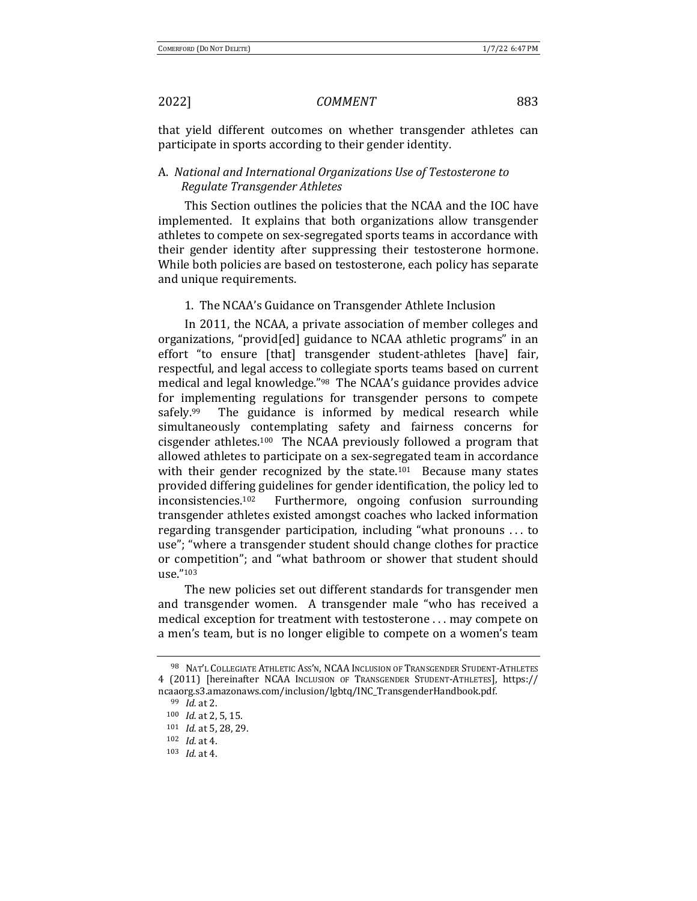that yield different outcomes on whether transgender athletes can participate in sports according to their gender identity.

## A. National and International Organizations Use of Testosterone to *Regulate Transgender Athletes*

This Section outlines the policies that the NCAA and the IOC have implemented. It explains that both organizations allow transgender athletes to compete on sex-segregated sports teams in accordance with their gender identity after suppressing their testosterone hormone. While both policies are based on testosterone, each policy has separate and unique requirements.

### 1. The NCAA's Guidance on Transgender Athlete Inclusion

In 2011, the NCAA, a private association of member colleges and organizations, "provid [ed] guidance to NCAA athletic programs" in an effort "to ensure [that] transgender student-athletes [have] fair, respectful, and legal access to collegiate sports teams based on current medical and legal knowledge."<sup>98</sup> The NCAA's guidance provides advice for implementing regulations for transgender persons to compete safely.<sup>99</sup> The guidance is informed by medical research while simultaneously contemplating safety and fairness concerns for cisgender athletes.<sup>100</sup> The NCAA previously followed a program that allowed athletes to participate on a sex-segregated team in accordance with their gender recognized by the state.<sup>101</sup> Because many states provided differing guidelines for gender identification, the policy led to inconsistencies.<sup>102</sup> Furthermore, ongoing confusion surrounding transgender athletes existed amongst coaches who lacked information regarding transgender participation, including "what pronouns ... to use"; "where a transgender student should change clothes for practice or competition"; and "what bathroom or shower that student should use."103

The new policies set out different standards for transgender men and transgender women. A transgender male "who has received a medical exception for treatment with testosterone ... may compete on a men's team, but is no longer eligible to compete on a women's team

<sup>98</sup> NAT'L COLLEGIATE ATHLETIC ASS'N, NCAA INCLUSION OF TRANSGENDER STUDENT-ATHLETES 4 (2011) [hereinafter NCAA INCLUSION OF TRANSGENDER STUDENT-ATHLETES], https:// ncaaorg.s3.amazonaws.com/inclusion/lgbtq/INC\_TransgenderHandbook.pdf. 

<sup>99</sup> *Id.* at 2.

<sup>100</sup> *Id.* at 2, 5, 15.

<sup>101</sup> *Id.* at 5, 28, 29.

<sup>102</sup> *Id.* at 4.

<sup>103</sup> *Id.* at 4.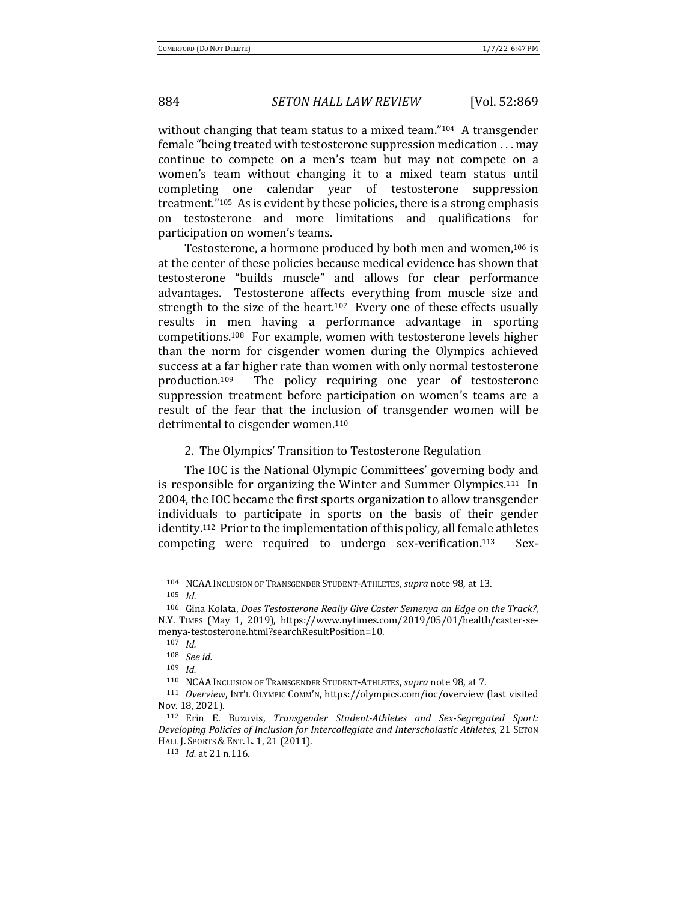without changing that team status to a mixed team." $104$  A transgender female "being treated with testosterone suppression medication . . . may continue to compete on a men's team but may not compete on a women's team without changing it to a mixed team status until completing one calendar year of testosterone suppression treatment." $105$  As is evident by these policies, there is a strong emphasis on testosterone and more limitations and qualifications for participation on women's teams.

Testosterone, a hormone produced by both men and women,<sup>106</sup> is at the center of these policies because medical evidence has shown that testosterone "builds muscle" and allows for clear performance advantages. Testosterone affects everything from muscle size and strength to the size of the heart.<sup>107</sup> Every one of these effects usually results in men having a performance advantage in sporting competitions.<sup>108</sup> For example, women with testosterone levels higher than the norm for cisgender women during the Olympics achieved success at a far higher rate than women with only normal testosterone production.<sup>109</sup> The policy requiring one year of testosterone suppression treatment before participation on women's teams are a result of the fear that the inclusion of transgender women will be detrimental to cisgender women.<sup>110</sup>

2. The Olympics' Transition to Testosterone Regulation

The IOC is the National Olympic Committees' governing body and is responsible for organizing the Winter and Summer Olympics.<sup>111</sup> In 2004, the IOC became the first sports organization to allow transgender individuals to participate in sports on the basis of their gender identity.<sup>112</sup> Prior to the implementation of this policy, all female athletes competing were required to undergo sex-verification.<sup>113</sup> Sex-

<sup>104</sup> NCAA Inclusion of Transgender Student-Athletes, *supra* note 98, at 13.

<sup>105</sup> *Id.*

<sup>106</sup> Gina Kolata, *Does Testosterone Really Give Caster Semenya an Edge on the Track?*, N.Y. TIMES (May 1, 2019), https://www.nytimes.com/2019/05/01/health/caster-semenya-testosterone.html?searchResultPosition=10.

<sup>107</sup> *Id.*

<sup>108</sup> *See id.*

<sup>109</sup> *Id.*

<sup>&</sup>lt;sup>110</sup> NCAA Inclusion of Transgender Student-Athletes, *supra* note 98, at 7.

<sup>111</sup> *Overview*, INT'L OLYMPIC COMM'N, https://olympics.com/ioc/overview (last visited Nov. 18, 2021).

<sup>&</sup>lt;sup>112</sup> Erin E. Buzuvis, *Transgender Student-Athletes and Sex-Segregated Sport: Developing Policies of Inclusion for Intercollegiate and Interscholastic Athletes*, 21 SETON HALL J. SPORTS & ENT. L. 1, 21 (2011).

<sup>113</sup> *Id.* at 21 n.116.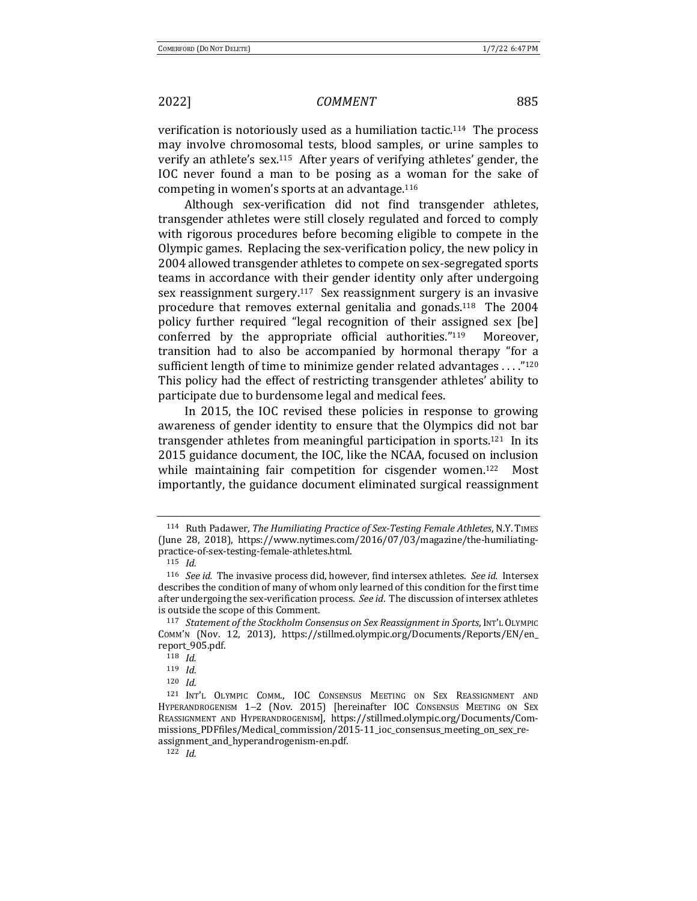verification is notoriously used as a humiliation tactic.<sup>114</sup> The process may involve chromosomal tests, blood samples, or urine samples to verify an athlete's sex.<sup>115</sup> After years of verifying athletes' gender, the IOC never found a man to be posing as a woman for the sake of competing in women's sports at an advantage.<sup>116</sup>

Although sex-verification did not find transgender athletes, transgender athletes were still closely regulated and forced to comply with rigorous procedures before becoming eligible to compete in the Olympic games. Replacing the sex-verification policy, the new policy in 2004 allowed transgender athletes to compete on sex-segregated sports teams in accordance with their gender identity only after undergoing sex reassignment surgery.<sup>117</sup> Sex reassignment surgery is an invasive procedure that removes external genitalia and gonads.<sup>118</sup> The  $2004$ policy further required "legal recognition of their assigned sex [be] conferred by the appropriate official authorities." $119$  Moreover, transition had to also be accompanied by hormonal therapy "for a sufficient length of time to minimize gender related advantages  $\dots$ ."<sup>120</sup> This policy had the effect of restricting transgender athletes' ability to participate due to burdensome legal and medical fees.

In 2015, the IOC revised these policies in response to growing awareness of gender identity to ensure that the Olympics did not bar transgender athletes from meaningful participation in sports.<sup>121</sup> In its 2015 guidance document, the IOC, like the NCAA, focused on inclusion while maintaining fair competition for cisgender women.<sup>122</sup> Most importantly, the guidance document eliminated surgical reassignment

<sup>122</sup> *Id.*

<sup>114</sup> Ruth Padawer, *The Humiliating Practice of Sex-Testing Female Athletes*, N.Y. TIMES (June 28, 2018), https://www.nytimes.com/2016/07/03/magazine/the-humiliatingpractice-of-sex-testing-female-athletes.html. 

<sup>115</sup> *Id.*

<sup>&</sup>lt;sup>116</sup> *See id.* The invasive process did, however, find intersex athletes. See id. Intersex describes the condition of many of whom only learned of this condition for the first time after undergoing the sex-verification process. See id. The discussion of intersex athletes is outside the scope of this Comment.

<sup>117</sup> *Statement of the Stockholm Consensus on Sex Reassignment in Sports*, INT'L OLYMPIC COMM'N (Nov. 12, 2013), https://stillmed.olympic.org/Documents/Reports/EN/en\_ report\_905.pdf.

<sup>118</sup> *Id.*

<sup>119</sup> *Id.*

<sup>120</sup> *Id.*

<sup>121</sup> INT'L OLYMPIC COMM., IOC CONSENSUS MEETING ON SEX REASSIGNMENT AND HYPERANDROGENISM 1-2 (Nov. 2015) [hereinafter IOC CONSENSUS MEETING ON SEX REASSIGNMENT AND HYPERANDROGENISM], https://stillmed.olympic.org/Documents/Commissions PDFfiles/Medical commission/2015-11 ioc consensus meeting on sex reassignment\_and\_hyperandrogenism-en.pdf.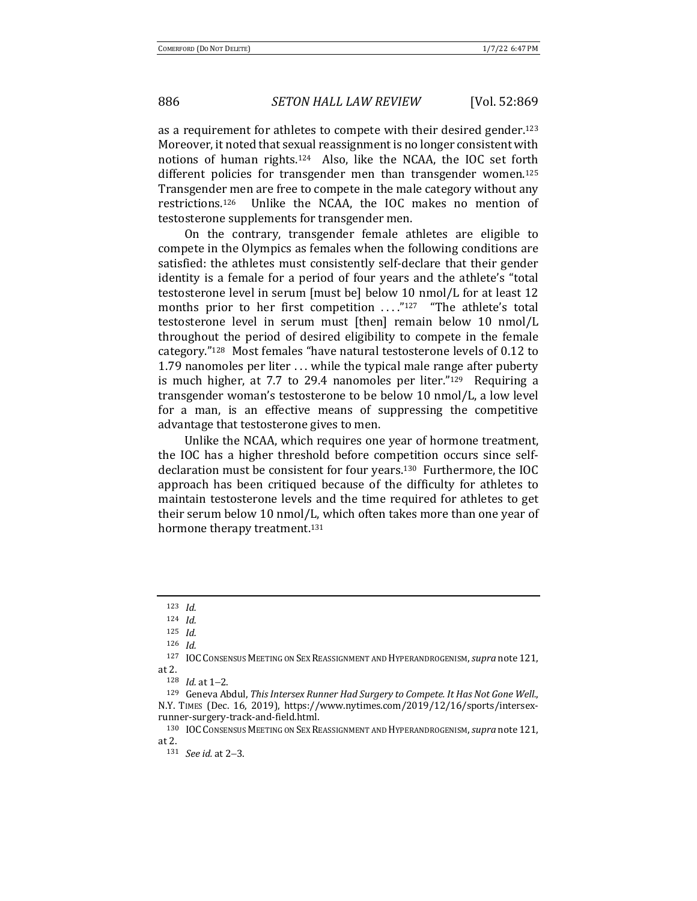as a requirement for athletes to compete with their desired gender.<sup>123</sup> Moreover, it noted that sexual reassignment is no longer consistent with notions of human rights.<sup>124</sup> Also, like the NCAA, the IOC set forth different policies for transgender men than transgender women.<sup>125</sup> Transgender men are free to compete in the male category without any restrictions.<sup>126</sup> Unlike the NCAA, the IOC makes no mention of testosterone supplements for transgender men.

On the contrary, transgender female athletes are eligible to compete in the Olympics as females when the following conditions are satisfied: the athletes must consistently self-declare that their gender identity is a female for a period of four years and the athlete's "total testosterone level in serum [must be] below 10 nmol/L for at least 12 months prior to her first competition  $\ldots$ "127 "The athlete's total testosterone level in serum must [then] remain below 10 nmol/L throughout the period of desired eligibility to compete in the female category."<sup>128</sup> Most females "have natural testosterone levels of 0.12 to 1.79 nanomoles per liter  $\dots$  while the typical male range after puberty is much higher, at 7.7 to 29.4 nanomoles per liter." $129$  Requiring a transgender woman's testosterone to be below 10 nmol/L, a low level for a man, is an effective means of suppressing the competitive advantage that testosterone gives to men.

Unlike the NCAA, which requires one year of hormone treatment, the IOC has a higher threshold before competition occurs since selfdeclaration must be consistent for four years.<sup>130</sup> Furthermore, the IOC approach has been critiqued because of the difficulty for athletes to maintain testosterone levels and the time required for athletes to get their serum below 10 nmol/L, which often takes more than one year of hormone therapy treatment.<sup>131</sup>

<sup>123</sup> *Id.*

<sup>124</sup> *Id.*

<sup>125</sup> *Id.*

<sup>126</sup> *Id.*

<sup>127</sup> IOC CONSENSUS MEETING ON SEX REASSIGNMENT AND HYPERANDROGENISM, *supra* note 121, at 2.

<sup>128</sup> *Id.* at 1-2.

<sup>129</sup> Geneva Abdul, *This Intersex Runner Had Surgery to Compete. It Has Not Gone Well.*, N.Y. TIMES (Dec. 16, 2019), https://www.nytimes.com/2019/12/16/sports/intersexrunner-surgery-track-and-field.html.

<sup>130</sup> IOC CONSENSUS MEETING ON SEX REASSIGNMENT AND HYPERANDROGENISM, *supra* note 121, at 2.

<sup>131</sup> *See id.* at 2-3.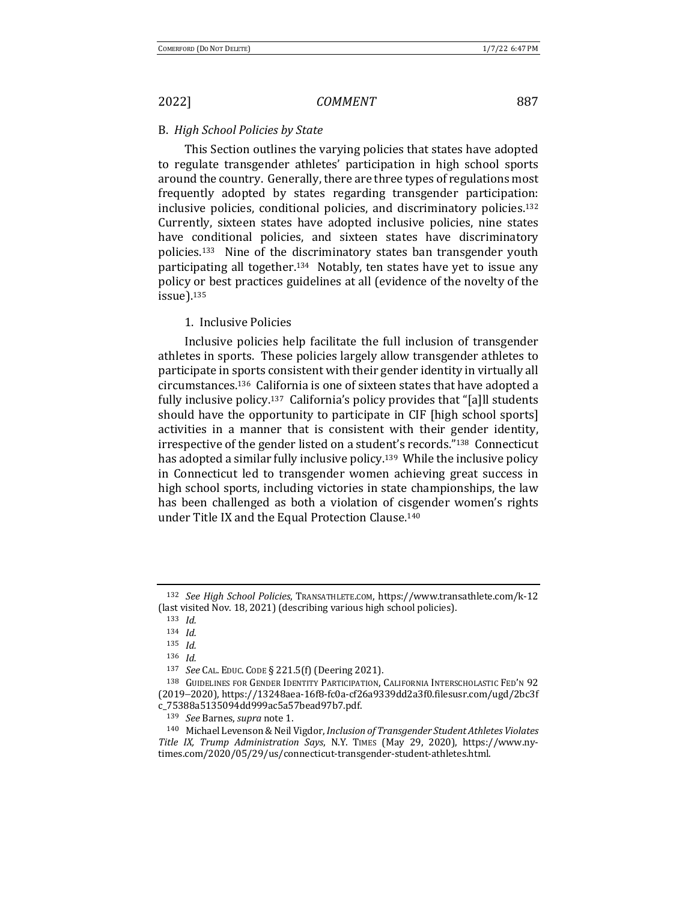### B. *High School Policies by State*

This Section outlines the varying policies that states have adopted to regulate transgender athletes' participation in high school sports around the country. Generally, there are three types of regulations most frequently adopted by states regarding transgender participation: inclusive policies, conditional policies, and discriminatory policies.<sup>132</sup> Currently, sixteen states have adopted inclusive policies, nine states have conditional policies, and sixteen states have discriminatory policies.<sup>133</sup> Nine of the discriminatory states ban transgender youth participating all together.<sup>134</sup> Notably, ten states have yet to issue any policy or best practices guidelines at all (evidence of the novelty of the issue).135

### 1. Inclusive Policies

Inclusive policies help facilitate the full inclusion of transgender athletes in sports. These policies largely allow transgender athletes to participate in sports consistent with their gender identity in virtually all circumstances.<sup>136</sup> California is one of sixteen states that have adopted a fully inclusive policy.<sup>137</sup> California's policy provides that "[a]ll students should have the opportunity to participate in CIF [high school sports] activities in a manner that is consistent with their gender identity, irrespective of the gender listed on a student's records."<sup>138</sup> Connecticut has adopted a similar fully inclusive policy.<sup>139</sup> While the inclusive policy in Connecticut led to transgender women achieving great success in high school sports, including victories in state championships, the law has been challenged as both a violation of cisgender women's rights under Title IX and the Equal Protection Clause.<sup>140</sup>

<sup>132</sup> *See High School Policies*, TRANSATHLETE.COM, https://www.transathlete.com/k-12 (last visited Nov. 18, 2021) (describing various high school policies).

<sup>133</sup> *Id.*

<sup>134</sup> *Id.*

<sup>135</sup> *Id.*

<sup>136</sup> *Id.*

<sup>137</sup> *See* CAL. EDUC. CODE § 221.5(f) (Deering 2021).

<sup>138</sup> GUIDELINES FOR GENDER IDENTITY PARTICIPATION, CALIFORNIA INTERSCHOLASTIC FED'N 92 (2019-2020), https://13248aea-16f8-fc0a-cf26a9339dd2a3f0.filesusr.com/ugd/2bc3f c\_75388a5135094dd999ac5a57bead97b7.pdf.

<sup>139</sup> *See* Barnes, *supra* note 1.

<sup>140</sup> Michael Levenson & Neil Vigdor, *Inclusion of Transgender Student Athletes Violates Title IX, Trump Administration Says*, N.Y. TIMES (May 29, 2020), https://www.nytimes.com/2020/05/29/us/connecticut-transgender-student-athletes.html.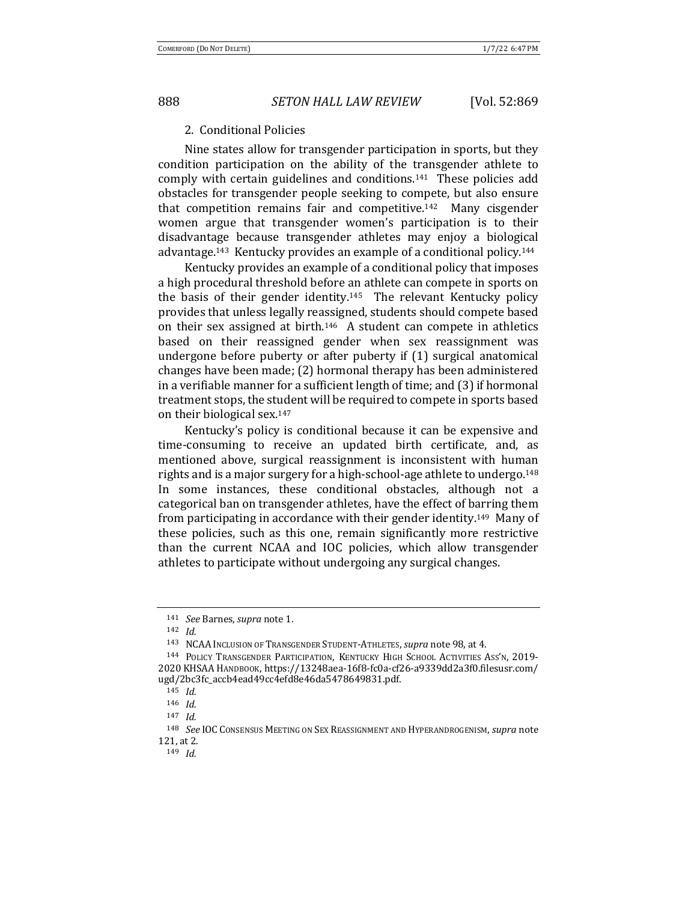### 2. Conditional Policies

Nine states allow for transgender participation in sports, but they condition participation on the ability of the transgender athlete to comply with certain guidelines and conditions.<sup>141</sup> These policies add obstacles for transgender people seeking to compete, but also ensure that competition remains fair and competitive.<sup>142</sup> Many cisgender women argue that transgender women's participation is to their disadvantage because transgender athletes may enjoy a biological advantage.<sup>143</sup> Kentucky provides an example of a conditional policy.<sup>144</sup>

Kentucky provides an example of a conditional policy that imposes a high procedural threshold before an athlete can compete in sports on the basis of their gender identity.<sup>145</sup> The relevant Kentucky policy provides that unless legally reassigned, students should compete based on their sex assigned at birth.<sup>146</sup> A student can compete in athletics based on their reassigned gender when sex reassignment was undergone before puberty or after puberty if (1) surgical anatomical changes have been made; (2) hormonal therapy has been administered in a verifiable manner for a sufficient length of time; and  $(3)$  if hormonal treatment stops, the student will be required to compete in sports based on their biological sex.<sup>147</sup>

Kentucky's policy is conditional because it can be expensive and time-consuming to receive an updated birth certificate, and, as mentioned above, surgical reassignment is inconsistent with human rights and is a major surgery for a high-school-age athlete to undergo.<sup>148</sup> In some instances, these conditional obstacles, although not a categorical ban on transgender athletes, have the effect of barring them from participating in accordance with their gender identity.<sup>149</sup> Many of these policies, such as this one, remain significantly more restrictive than the current NCAA and IOC policies, which allow transgender athletes to participate without undergoing any surgical changes.

<sup>141</sup> *See* Barnes, *supra* note 1.

<sup>142</sup> *Id.*

<sup>143</sup> NCAA INCLUSION OF TRANSGENDER STUDENT-ATHLETES, *supra* note 98, at 4.

<sup>&</sup>lt;sup>144</sup> POLICY TRANSGENDER PARTICIPATION, KENTUCKY HIGH SCHOOL ACTIVITIES ASS'N, 2019-2020 KHSAA HANDBOOK, https://13248aea-16f8-fc0a-cf26-a9339dd2a3f0.filesusr.com/ ugd/2bc3fc\_accb4ead49cc4efd8e46da5478649831.pdf.

<sup>145</sup> *Id.*

<sup>146</sup> *Id.*

<sup>147</sup> *Id.*

<sup>148</sup> *See* IOC CONSENSUS MEETING ON SEX REASSIGNMENT AND HYPERANDROGENISM, *supra* note 121, at 2.

<sup>149</sup> *Id.*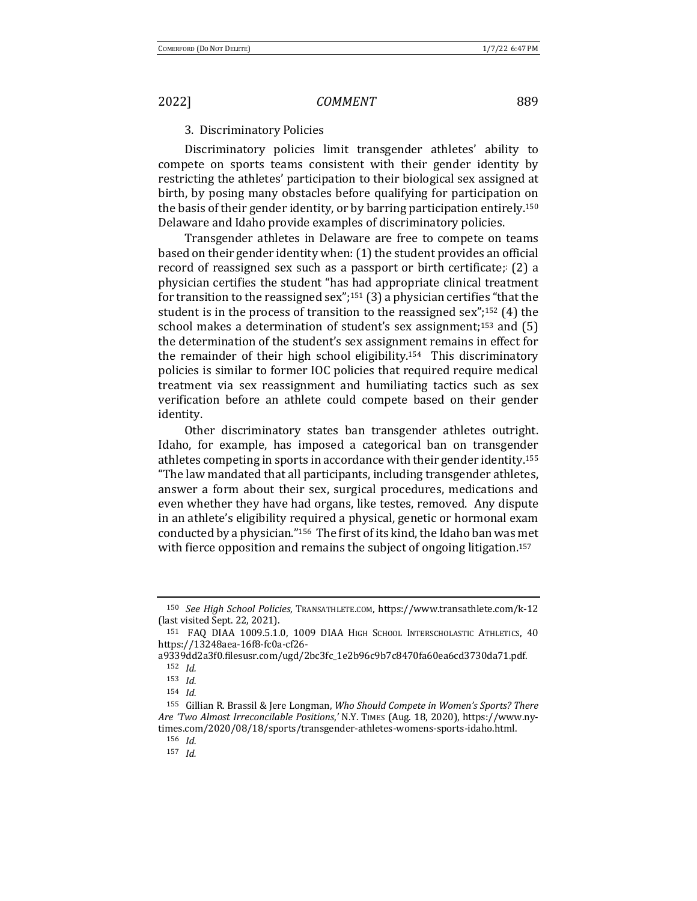## 3. Discriminatory Policies

Discriminatory policies limit transgender athletes' ability to compete on sports teams consistent with their gender identity by restricting the athletes' participation to their biological sex assigned at birth, by posing many obstacles before qualifying for participation on the basis of their gender identity, or by barring participation entirely.<sup>150</sup> Delaware and Idaho provide examples of discriminatory policies.

Transgender athletes in Delaware are free to compete on teams based on their gender identity when:  $(1)$  the student provides an official record of reassigned sex such as a passport or birth certificate;  $(2)$  a physician certifies the student "has had appropriate clinical treatment for transition to the reassigned  $sex''$ ;<sup>151</sup> (3) a physician certifies "that the student is in the process of transition to the reassigned  $sex''$ ;<sup>152</sup> (4) the school makes a determination of student's sex assignment;<sup>153</sup> and  $(5)$ the determination of the student's sex assignment remains in effect for the remainder of their high school eligibility.<sup>154</sup> This discriminatory policies is similar to former IOC policies that required require medical treatment via sex reassignment and humiliating tactics such as sex verification before an athlete could compete based on their gender identity.

Other discriminatory states ban transgender athletes outright. Idaho, for example, has imposed a categorical ban on transgender athletes competing in sports in accordance with their gender identity.<sup>155</sup> "The law mandated that all participants, including transgender athletes, answer a form about their sex, surgical procedures, medications and even whether they have had organs, like testes, removed. Any dispute in an athlete's eligibility required a physical, genetic or hormonal exam conducted by a physician."<sup>156</sup> The first of its kind, the Idaho ban was met with fierce opposition and remains the subject of ongoing litigation.<sup>157</sup>

<sup>150</sup> *See High School Policies*, TRANSATHLETE.COM, https://www.transathlete.com/k-12 (last visited Sept. 22, 2021).

<sup>&</sup>lt;sup>151</sup> FAQ DIAA 1009.5.1.0, 1009 DIAA HIGH SCHOOL INTERSCHOLASTIC ATHLETICS, 40 https://13248aea-16f8-fc0a-cf26-

a9339dd2a3f0.filesusr.com/ugd/2bc3fc\_1e2b96c9b7c8470fa60ea6cd3730da71.pdf. <sup>152</sup> *Id.*

<sup>153</sup> *Id.*

<sup>154</sup> *Id.*

<sup>155</sup> Gillian R. Brassil & Jere Longman, *Who Should Compete in Women's Sports? There Are 'Two Almost Irreconcilable Positions*,*'* N.Y. TIMES (Aug. 18, 2020), https://www.nytimes.com/2020/08/18/sports/transgender-athletes-womens-sports-idaho.html.

<sup>156</sup> *Id.*

<sup>157</sup> *Id.*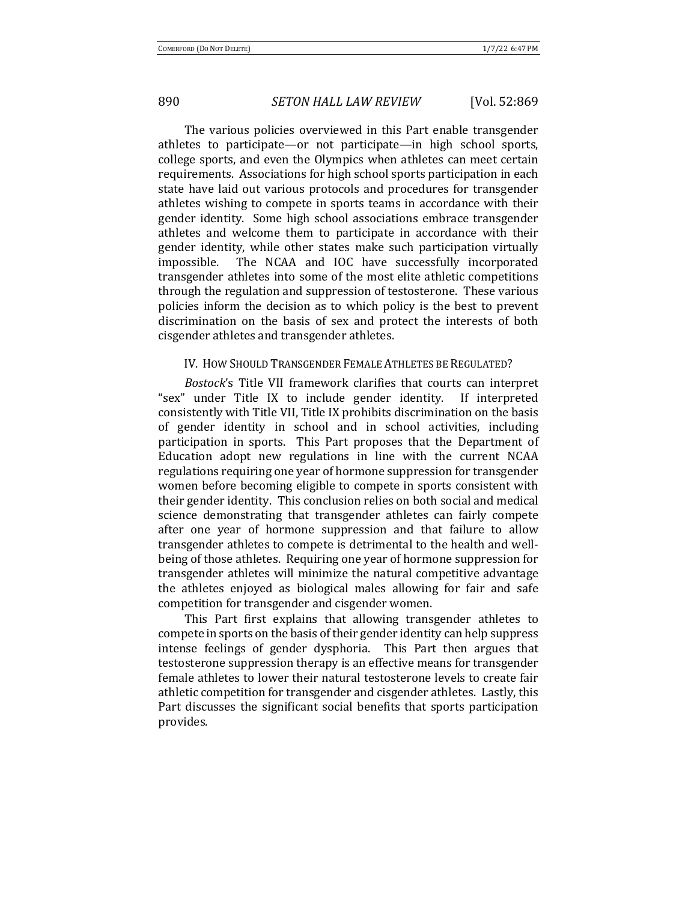The various policies overviewed in this Part enable transgender athletes to participate—or not participate—in high school sports, college sports, and even the Olympics when athletes can meet certain requirements. Associations for high school sports participation in each state have laid out various protocols and procedures for transgender athletes wishing to compete in sports teams in accordance with their gender identity. Some high school associations embrace transgender athletes and welcome them to participate in accordance with their gender identity, while other states make such participation virtually impossible. The NCAA and IOC have successfully incorporated transgender athletes into some of the most elite athletic competitions through the regulation and suppression of testosterone. These various policies inform the decision as to which policy is the best to prevent discrimination on the basis of sex and protect the interests of both cisgender athletes and transgender athletes.

### IV. HOW SHOULD TRANSGENDER FEMALE ATHLETES BE REGULATED?

*Bostock*'s Title VII framework clarifies that courts can interpret "sex" under Title IX to include gender identity. If interpreted consistently with Title VII, Title IX prohibits discrimination on the basis of gender identity in school and in school activities, including participation in sports. This Part proposes that the Department of Education adopt new regulations in line with the current NCAA regulations requiring one year of hormone suppression for transgender women before becoming eligible to compete in sports consistent with their gender identity. This conclusion relies on both social and medical science demonstrating that transgender athletes can fairly compete after one year of hormone suppression and that failure to allow transgender athletes to compete is detrimental to the health and wellbeing of those athletes. Requiring one year of hormone suppression for transgender athletes will minimize the natural competitive advantage the athletes enjoyed as biological males allowing for fair and safe competition for transgender and cisgender women.

This Part first explains that allowing transgender athletes to compete in sports on the basis of their gender identity can help suppress intense feelings of gender dysphoria. This Part then argues that testosterone suppression therapy is an effective means for transgender female athletes to lower their natural testosterone levels to create fair athletic competition for transgender and cisgender athletes. Lastly, this Part discusses the significant social benefits that sports participation provides.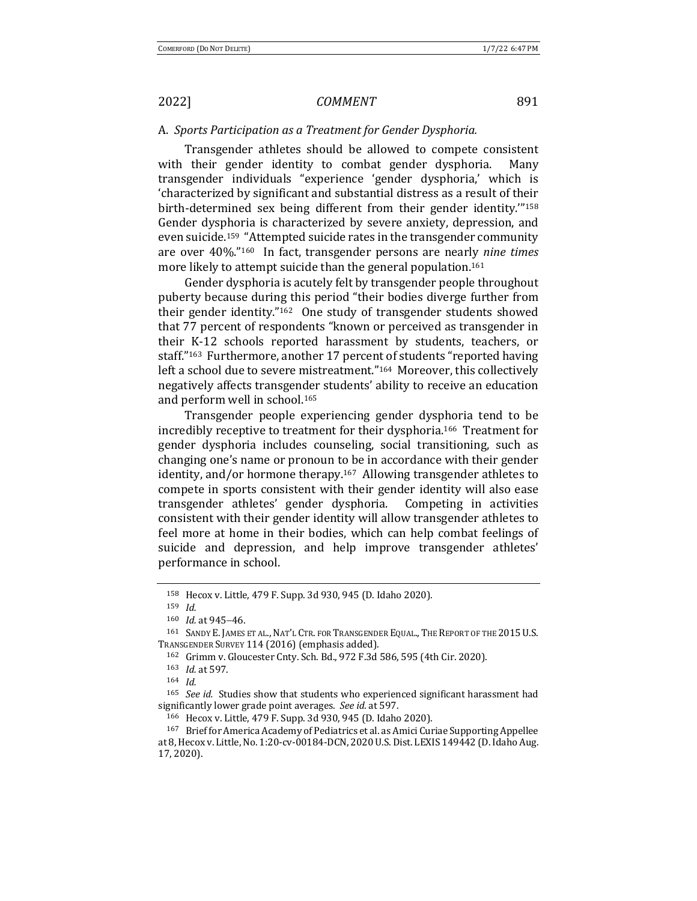### A. Sports Participation as a Treatment for Gender Dysphoria.

Transgender athletes should be allowed to compete consistent with their gender identity to combat gender dysphoria. Many transgender individuals "experience 'gender dysphoria,' which is 'characterized by significant and substantial distress as a result of their birth-determined sex being different from their gender identity."<sup>158</sup> Gender dysphoria is characterized by severe anxiety, depression, and even suicide.<sup>159</sup> "Attempted suicide rates in the transgender community are over 40%."<sup>160</sup> In fact, transgender persons are nearly *nine times* more likely to attempt suicide than the general population.<sup>161</sup>

Gender dysphoria is acutely felt by transgender people throughout puberty because during this period "their bodies diverge further from their gender identity." $162$  One study of transgender students showed that 77 percent of respondents "known or perceived as transgender in their K-12 schools reported harassment by students, teachers, or staff."<sup>163</sup> Furthermore, another 17 percent of students "reported having left a school due to severe mistreatment."<sup>164</sup> Moreover, this collectively negatively affects transgender students' ability to receive an education and perform well in school.<sup>165</sup>

Transgender people experiencing gender dysphoria tend to be incredibly receptive to treatment for their dysphoria.<sup>166</sup> Treatment for gender dysphoria includes counseling, social transitioning, such as changing one's name or pronoun to be in accordance with their gender identity, and/or hormone therapy.<sup>167</sup> Allowing transgender athletes to compete in sports consistent with their gender identity will also ease transgender athletes' gender dysphoria. Competing in activities consistent with their gender identity will allow transgender athletes to feel more at home in their bodies, which can help combat feelings of suicide and depression, and help improve transgender athletes' performance in school.

<sup>164</sup> *Id.*

<sup>165</sup> *See id.* Studies show that students who experienced significant harassment had significantly lower grade point averages. See id. at 597.

166 Hecox v. Little, 479 F. Supp. 3d 930, 945 (D. Idaho 2020).

<sup>158</sup> Hecox v. Little, 479 F. Supp. 3d 930, 945 (D. Idaho 2020).

<sup>159</sup> *Id.*

<sup>160</sup> *Id.* at 945-46.

<sup>161</sup> SANDY E. JAMES ET AL., NAT'L CTR. FOR TRANSGENDER EQUAL., THE REPORT OF THE 2015 U.S. TRANSGENDER SURVEY 114 (2016) (emphasis added).

<sup>162</sup> Grimm v. Gloucester Cnty. Sch. Bd., 972 F.3d 586, 595 (4th Cir. 2020).

<sup>163</sup> *Id.* at 597.

<sup>167</sup> Brief for America Academy of Pediatrics et al. as Amici Curiae Supporting Appellee at 8, Hecox v. Little, No. 1:20-cv-00184-DCN, 2020 U.S. Dist. LEXIS 149442 (D. Idaho Aug. 17, 2020).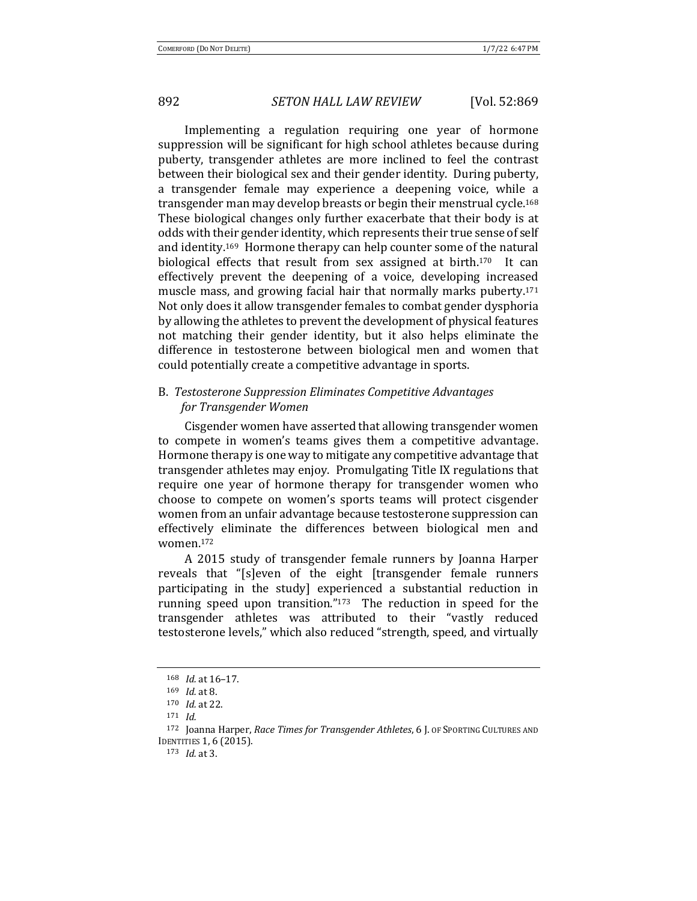Implementing a regulation requiring one year of hormone suppression will be significant for high school athletes because during puberty, transgender athletes are more inclined to feel the contrast between their biological sex and their gender identity. During puberty, a transgender female may experience a deepening voice, while a transgender man may develop breasts or begin their menstrual cycle.<sup>168</sup> These biological changes only further exacerbate that their body is at odds with their gender identity, which represents their true sense of self and identity.<sup>169</sup> Hormone therapy can help counter some of the natural biological effects that result from sex assigned at birth.<sup>170</sup> It can effectively prevent the deepening of a voice, developing increased muscle mass, and growing facial hair that normally marks puberty.<sup>171</sup> Not only does it allow transgender females to combat gender dysphoria by allowing the athletes to prevent the development of physical features not matching their gender identity, but it also helps eliminate the difference in testosterone between biological men and women that could potentially create a competitive advantage in sports.

## B. Testosterone Suppression Eliminates Competitive Advantages *for Transgender Women*

Cisgender women have asserted that allowing transgender women to compete in women's teams gives them a competitive advantage. Hormone therapy is one way to mitigate any competitive advantage that transgender athletes may enjoy. Promulgating Title IX regulations that require one year of hormone therapy for transgender women who choose to compete on women's sports teams will protect cisgender women from an unfair advantage because testosterone suppression can effectively eliminate the differences between biological men and women.172 

A 2015 study of transgender female runners by Joanna Harper reveals that "[s]even of the eight [transgender female runners participating in the study] experienced a substantial reduction in running speed upon transition." $173$  The reduction in speed for the transgender athletes was attributed to their "vastly reduced testosterone levels," which also reduced "strength, speed, and virtually

<sup>168</sup> *Id.* at 16-17.

<sup>169</sup> *Id.* at 8.

<sup>170</sup> *Id.* at 22.

<sup>171</sup> *Id.*

<sup>&</sup>lt;sup>172</sup> Joanna Harper, *Race Times for Transgender Athletes*, 6 J. OF SPORTING CULTURES AND **IDENTITIES 1, 6 (2015).** 

<sup>173</sup> *Id.* at 3.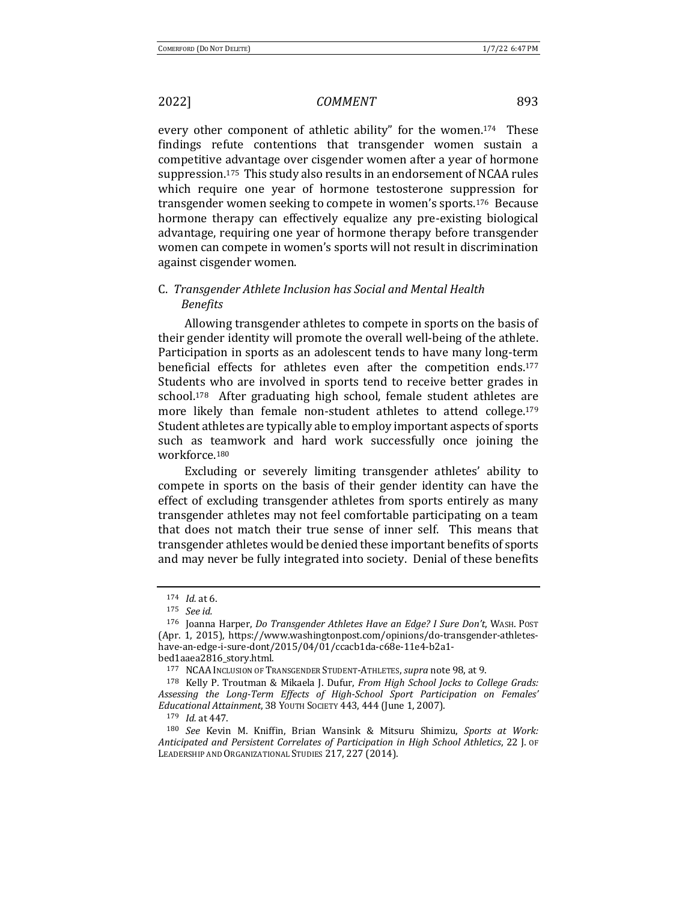every other component of athletic ability" for the women.<sup>174</sup> These findings refute contentions that transgender women sustain a competitive advantage over cisgender women after a year of hormone suppression.<sup>175</sup> This study also results in an endorsement of NCAA rules which require one year of hormone testosterone suppression for transgender women seeking to compete in women's sports.<sup>176</sup> Because hormone therapy can effectively equalize any pre-existing biological advantage, requiring one year of hormone therapy before transgender women can compete in women's sports will not result in discrimination against cisgender women.

## C. *Transgender Athlete Inclusion has Social and Mental Health Benefits*

Allowing transgender athletes to compete in sports on the basis of their gender identity will promote the overall well-being of the athlete. Participation in sports as an adolescent tends to have many long-term beneficial effects for athletes even after the competition ends.<sup>177</sup> Students who are involved in sports tend to receive better grades in school.<sup>178</sup> After graduating high school, female student athletes are more likely than female non-student athletes to attend college.<sup>179</sup> Student athletes are typically able to employ important aspects of sports such as teamwork and hard work successfully once joining the workforce.180

Excluding or severely limiting transgender athletes' ability to compete in sports on the basis of their gender identity can have the effect of excluding transgender athletes from sports entirely as many transgender athletes may not feel comfortable participating on a team that does not match their true sense of inner self. This means that transgender athletes would be denied these important benefits of sports and may never be fully integrated into society. Denial of these benefits

 $174$  *Id.* at 6.

<sup>175</sup> *See id.*

<sup>176</sup> Joanna Harper, *Do Transgender Athletes Have an Edge? I Sure Don't*, WASH. POST (Apr. 1, 2015), https://www.washingtonpost.com/opinions/do-transgender-athleteshave-an-edge-i-sure-dont/2015/04/01/ccacb1da-c68e-11e4-b2a1 bed1aaea2816\_story.html.

<sup>177</sup> NCAA Inclusion of TRANSGENDER STUDENT-ATHLETES, *supra* note 98, at 9.

<sup>&</sup>lt;sup>178</sup> Kelly P. Troutman & Mikaela J. Dufur, *From High School Jocks to College Grads: Assessing the Long-Term Effects of High-School Sport Participation on Females' Educational Attainment*, 38 YOUTH SOCIETY 443, 444 (June 1, 2007).

<sup>179</sup> *Id.* at 447.

<sup>&</sup>lt;sup>180</sup> See Kevin M. Kniffin, Brian Wansink & Mitsuru Shimizu, Sports at Work: *Anticipated and Persistent Correlates of Participation in High School Athletics*, 22 J. OF LEADERSHIP AND ORGANIZATIONAL STUDIES 217, 227 (2014).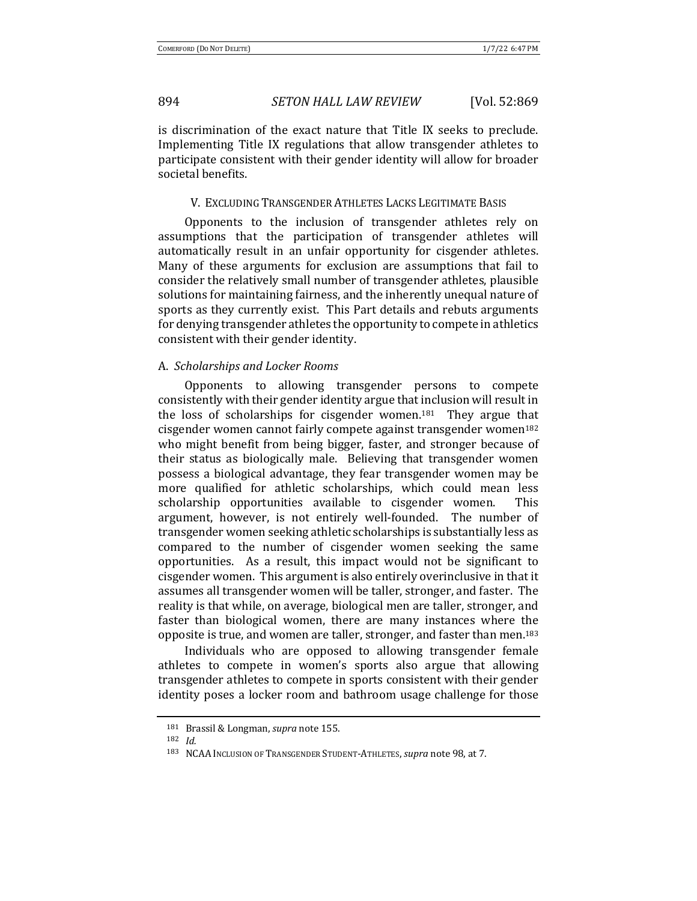is discrimination of the exact nature that Title IX seeks to preclude. Implementing Title IX regulations that allow transgender athletes to participate consistent with their gender identity will allow for broader societal benefits.

### V. EXCLUDING TRANSGENDER ATHLETES LACKS LEGITIMATE BASIS

Opponents to the inclusion of transgender athletes rely on assumptions that the participation of transgender athletes will automatically result in an unfair opportunity for cisgender athletes. Many of these arguments for exclusion are assumptions that fail to consider the relatively small number of transgender athletes, plausible solutions for maintaining fairness, and the inherently unequal nature of sports as they currently exist. This Part details and rebuts arguments for denying transgender athletes the opportunity to compete in athletics consistent with their gender identity.

#### A. *Scholarships and Locker Rooms*

Opponents to allowing transgender persons to compete consistently with their gender identity argue that inclusion will result in the loss of scholarships for cisgender women.<sup>181</sup> They argue that cisgender women cannot fairly compete against transgender women<sup>182</sup> who might benefit from being bigger, faster, and stronger because of their status as biologically male. Believing that transgender women possess a biological advantage, they fear transgender women may be more qualified for athletic scholarships, which could mean less scholarship opportunities available to cisgender women. This argument, however, is not entirely well-founded. The number of transgender women seeking athletic scholarships is substantially less as compared to the number of cisgender women seeking the same opportunities. As a result, this impact would not be significant to cisgender women. This argument is also entirely overinclusive in that it assumes all transgender women will be taller, stronger, and faster. The reality is that while, on average, biological men are taller, stronger, and faster than biological women, there are many instances where the opposite is true, and women are taller, stronger, and faster than men.<sup>183</sup>

Individuals who are opposed to allowing transgender female athletes to compete in women's sports also argue that allowing transgender athletes to compete in sports consistent with their gender identity poses a locker room and bathroom usage challenge for those

<sup>181</sup> Brassil & Longman, *supra* note 155.

<sup>182</sup> *Id.*

<sup>183</sup> NCAA Inclusion of Transgender Student-Athletes, *supra* note 98, at 7.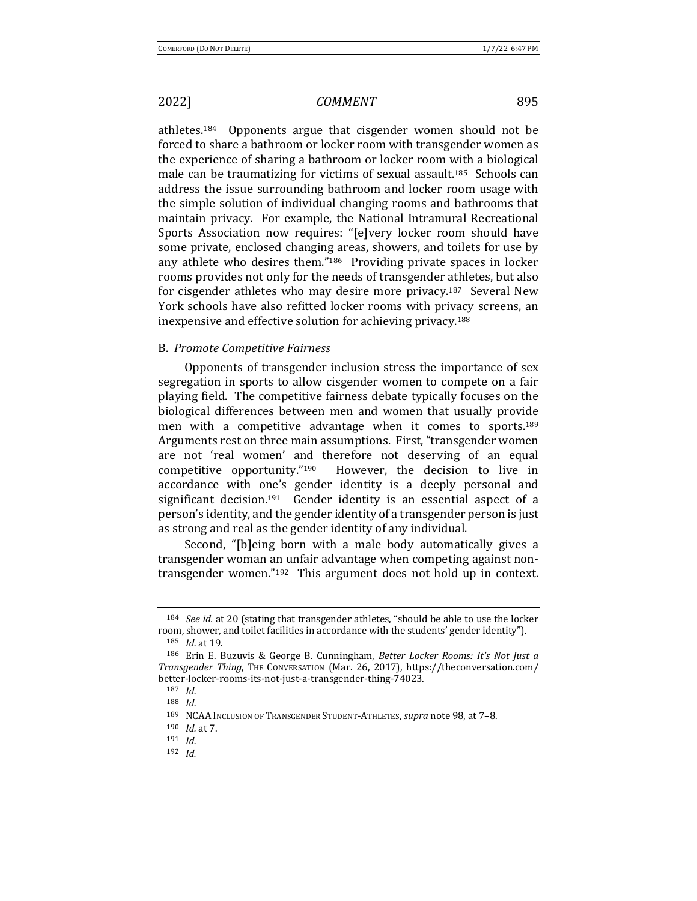athletes.<sup>184</sup> Opponents argue that cisgender women should not be forced to share a bathroom or locker room with transgender women as the experience of sharing a bathroom or locker room with a biological male can be traumatizing for victims of sexual assault.<sup>185</sup> Schools can address the issue surrounding bathroom and locker room usage with the simple solution of individual changing rooms and bathrooms that maintain privacy. For example, the National Intramural Recreational Sports Association now requires: "[e]very locker room should have some private, enclosed changing areas, showers, and toilets for use by any athlete who desires them." $186$  Providing private spaces in locker rooms provides not only for the needs of transgender athletes, but also for cisgender athletes who may desire more privacy.<sup>187</sup> Several New York schools have also refitted locker rooms with privacy screens, an inexpensive and effective solution for achieving privacy.<sup>188</sup>

#### B. *Promote Competitive Fairness*

Opponents of transgender inclusion stress the importance of sex segregation in sports to allow cisgender women to compete on a fair playing field. The competitive fairness debate typically focuses on the biological differences between men and women that usually provide men with a competitive advantage when it comes to sports.<sup>189</sup> Arguments rest on three main assumptions. First, "transgender women are not 'real women' and therefore not deserving of an equal competitive opportunity." $190$  However, the decision to live in accordance with one's gender identity is a deeply personal and significant decision.<sup>191</sup> Gender identity is an essential aspect of a person's identity, and the gender identity of a transgender person is just as strong and real as the gender identity of any individual.

Second, "[b]eing born with a male body automatically gives a transgender woman an unfair advantage when competing against nontransgender women." $192$  This argument does not hold up in context.

<sup>&</sup>lt;sup>184</sup> *See id.* at 20 (stating that transgender athletes, "should be able to use the locker room, shower, and toilet facilities in accordance with the students' gender identity").

<sup>185</sup> *Id.* at 19.

<sup>&</sup>lt;sup>186</sup> Erin E. Buzuvis & George B. Cunningham, Better Locker Rooms: It's Not Just a *Transgender Thing*, THE CONVERSATION (Mar. 26, 2017), https://theconversation.com/ better-locker-rooms-its-not-just-a-transgender-thing-74023.

<sup>187</sup> *Id.*

<sup>188</sup> *Id.*

<sup>189</sup> NCAA Inclusion of Transgender Student-Athletes, *supra* note 98, at 7-8.

<sup>190</sup> *Id.* at 7.

<sup>191</sup> *Id.*

<sup>192</sup> *Id.*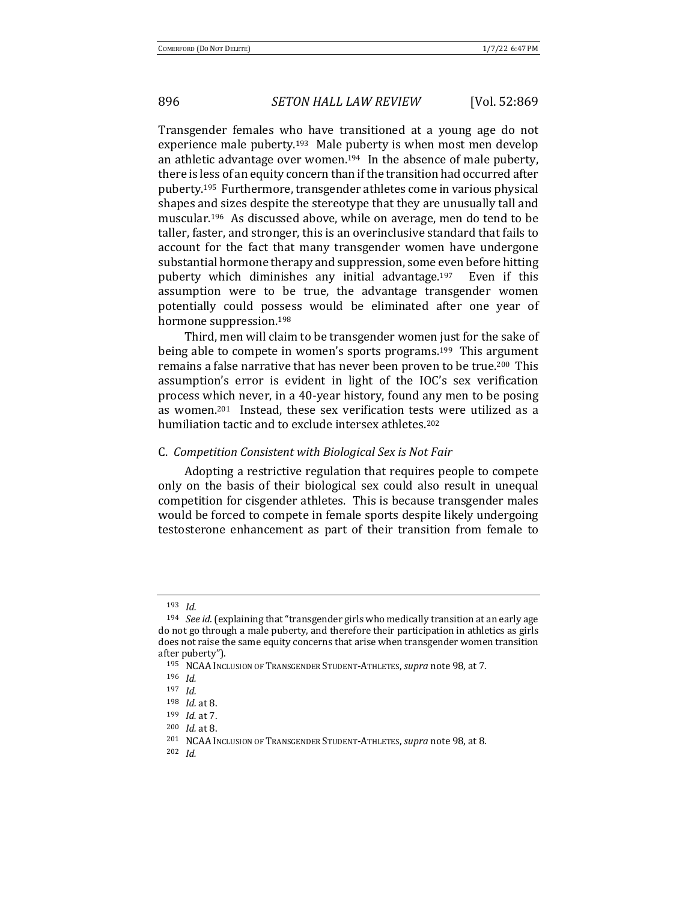Transgender females who have transitioned at a young age do not experience male puberty.<sup>193</sup> Male puberty is when most men develop an athletic advantage over women.<sup>194</sup> In the absence of male puberty, there is less of an equity concern than if the transition had occurred after puberty.<sup>195</sup> Furthermore, transgender athletes come in various physical shapes and sizes despite the stereotype that they are unusually tall and muscular.<sup>196</sup> As discussed above, while on average, men do tend to be taller, faster, and stronger, this is an overinclusive standard that fails to account for the fact that many transgender women have undergone substantial hormone therapy and suppression, some even before hitting puberty which diminishes any initial advantage.<sup>197</sup> Even if this assumption were to be true, the advantage transgender women potentially could possess would be eliminated after one year of hormone suppression.<sup>198</sup>

Third, men will claim to be transgender women just for the sake of being able to compete in women's sports programs.<sup>199</sup> This argument remains a false narrative that has never been proven to be true.<sup>200</sup> This assumption's error is evident in light of the IOC's sex verification process which never, in a 40-year history, found any men to be posing as women.<sup>201</sup> Instead, these sex verification tests were utilized as a humiliation tactic and to exclude intersex athletes.<sup>202</sup>

#### C. *Competition Consistent with Biological Sex is Not Fair*

Adopting a restrictive regulation that requires people to compete only on the basis of their biological sex could also result in unequal competition for cisgender athletes. This is because transgender males would be forced to compete in female sports despite likely undergoing testosterone enhancement as part of their transition from female to

<sup>193</sup> *Id.*

<sup>&</sup>lt;sup>194</sup> *See id.* (explaining that "transgender girls who medically transition at an early age do not go through a male puberty, and therefore their participation in athletics as girls does not raise the same equity concerns that arise when transgender women transition after puberty").

<sup>&</sup>lt;sup>195</sup> NCAA INCLUSION OF TRANSGENDER STUDENT-ATHLETES, *supra* note 98, at 7.

<sup>196</sup> *Id.*

<sup>197</sup> *Id.*

<sup>198</sup> *Id.* at 8.

<sup>199</sup> *Id.* at 7.

<sup>200</sup> *Id.* at 8.

<sup>&</sup>lt;sup>201</sup> NCAA Inclusion of Transgender Student-Athletes, *supra* note 98, at 8.

<sup>202</sup> *Id.*